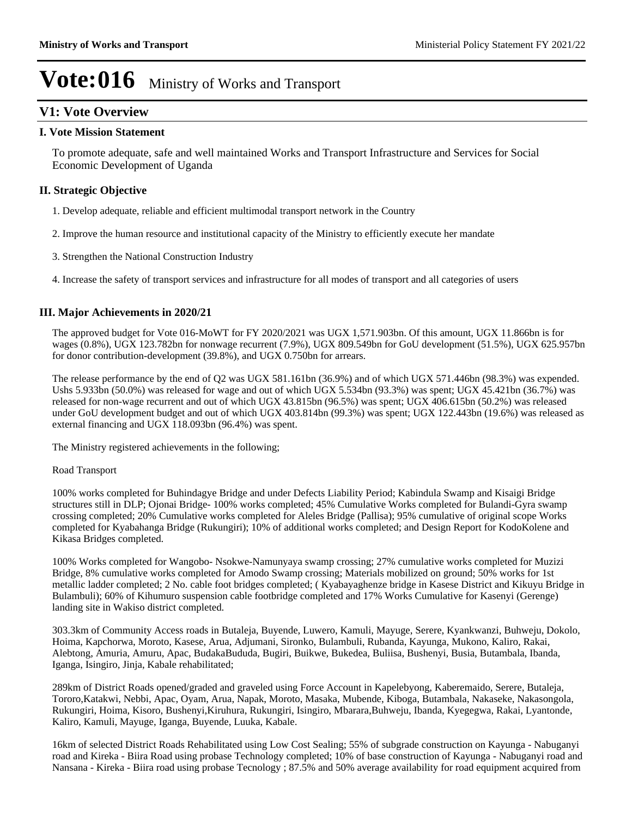### **V1: Vote Overview**

### **I. Vote Mission Statement**

To promote adequate, safe and well maintained Works and Transport Infrastructure and Services for Social Economic Development of Uganda

### **II. Strategic Objective**

- 1. Develop adequate, reliable and efficient multimodal transport network in the Country
- 2. Improve the human resource and institutional capacity of the Ministry to efficiently execute her mandate
- 3. Strengthen the National Construction Industry
- 4. Increase the safety of transport services and infrastructure for all modes of transport and all categories of users

### **III. Major Achievements in 2020/21**

The approved budget for Vote 016-MoWT for FY 2020/2021 was UGX 1,571.903bn. Of this amount, UGX 11.866bn is for wages (0.8%), UGX 123.782bn for nonwage recurrent (7.9%), UGX 809.549bn for GoU development (51.5%), UGX 625.957bn for donor contribution-development (39.8%), and UGX 0.750bn for arrears.

The release performance by the end of Q2 was UGX 581.161bn (36.9%) and of which UGX 571.446bn (98.3%) was expended. Ushs 5.933bn (50.0%) was released for wage and out of which UGX 5.534bn (93.3%) was spent; UGX 45.421bn (36.7%) was released for non-wage recurrent and out of which UGX 43.815bn (96.5%) was spent; UGX 406.615bn (50.2%) was released under GoU development budget and out of which UGX 403.814bn (99.3%) was spent; UGX 122.443bn (19.6%) was released as external financing and UGX 118.093bn (96.4%) was spent.

The Ministry registered achievements in the following;

#### Road Transport

100% works completed for Buhindagye Bridge and under Defects Liability Period; Kabindula Swamp and Kisaigi Bridge structures still in DLP; Ojonai Bridge- 100% works completed; 45% Cumulative Works completed for Bulandi-Gyra swamp crossing completed; 20% Cumulative works completed for Aleles Bridge (Pallisa); 95% cumulative of original scope Works completed for Kyabahanga Bridge (Rukungiri); 10% of additional works completed; and Design Report for KodoKolene and Kikasa Bridges completed.

100% Works completed for Wangobo- Nsokwe-Namunyaya swamp crossing; 27% cumulative works completed for Muzizi Bridge, 8% cumulative works completed for Amodo Swamp crossing; Materials mobilized on ground; 50% works for 1st metallic ladder completed; 2 No. cable foot bridges completed; ( Kyabayaghenze bridge in Kasese District and Kikuyu Bridge in Bulambuli); 60% of Kihumuro suspension cable footbridge completed and 17% Works Cumulative for Kasenyi (Gerenge) landing site in Wakiso district completed.

303.3km of Community Access roads in Butaleja, Buyende, Luwero, Kamuli, Mayuge, Serere, Kyankwanzi, Buhweju, Dokolo, Hoima, Kapchorwa, Moroto, Kasese, Arua, Adjumani, Sironko, Bulambuli, Rubanda, Kayunga, Mukono, Kaliro, Rakai, Alebtong, Amuria, Amuru, Apac, BudakaBududa, Bugiri, Buikwe, Bukedea, Buliisa, Bushenyi, Busia, Butambala, Ibanda, Iganga, Isingiro, Jinja, Kabale rehabilitated;

289km of District Roads opened/graded and graveled using Force Account in Kapelebyong, Kaberemaido, Serere, Butaleja, Tororo,Katakwi, Nebbi, Apac, Oyam, Arua, Napak, Moroto, Masaka, Mubende, Kiboga, Butambala, Nakaseke, Nakasongola, Rukungiri, Hoima, Kisoro, Bushenyi,Kiruhura, Rukungiri, Isingiro, Mbarara,Buhweju, Ibanda, Kyegegwa, Rakai, Lyantonde, Kaliro, Kamuli, Mayuge, Iganga, Buyende, Luuka, Kabale.

16km of selected District Roads Rehabilitated using Low Cost Sealing; 55% of subgrade construction on Kayunga - Nabuganyi road and Kireka - Biira Road using probase Technology completed; 10% of base construction of Kayunga - Nabuganyi road and Nansana - Kireka - Biira road using probase Tecnology ; 87.5% and 50% average availability for road equipment acquired from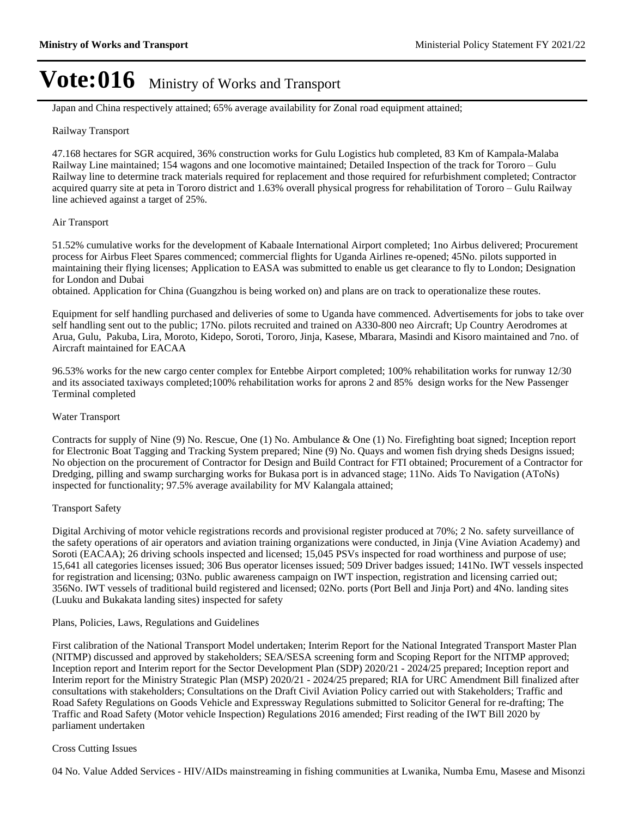Japan and China respectively attained; 65% average availability for Zonal road equipment attained;

#### Railway Transport

47.168 hectares for SGR acquired, 36% construction works for Gulu Logistics hub completed, 83 Km of Kampala-Malaba Railway Line maintained; 154 wagons and one locomotive maintained; Detailed Inspection of the track for Tororo - Gulu Railway line to determine track materials required for replacement and those required for refurbishment completed; Contractor acquired quarry site at peta in Tororo district and 1.63% overall physical progress for rehabilitation of Tororo – Gulu Railway line achieved against a target of 25%.

#### Air Transport

51.52% cumulative works for the development of Kabaale International Airport completed; 1no Airbus delivered; Procurement process for Airbus Fleet Spares commenced; commercial flights for Uganda Airlines re-opened; 45No. pilots supported in maintaining their flying licenses; Application to EASA was submitted to enable us get clearance to fly to London; Designation for London and Dubai

obtained. Application for China (Guangzhou is being worked on) and plans are on track to operationalize these routes.

Equipment for self handling purchased and deliveries of some to Uganda have commenced. Advertisements for jobs to take over self handling sent out to the public; 17No. pilots recruited and trained on A330-800 neo Aircraft; Up Country Aerodromes at Arua, Gulu, Pakuba, Lira, Moroto, Kidepo, Soroti, Tororo, Jinja, Kasese, Mbarara, Masindi and Kisoro maintained and 7no. of Aircraft maintained for EACAA

96.53% works for the new cargo center complex for Entebbe Airport completed; 100% rehabilitation works for runway 12/30 and its associated taxiways completed;100% rehabilitation works for aprons 2 and 85% design works for the New Passenger Terminal completed

#### Water Transport

Contracts for supply of Nine (9) No. Rescue, One (1) No. Ambulance & One (1) No. Firefighting boat signed; Inception report for Electronic Boat Tagging and Tracking System prepared; Nine (9) No. Quays and women fish drying sheds Designs issued; No objection on the procurement of Contractor for Design and Build Contract for FTI obtained; Procurement of a Contractor for Dredging, pilling and swamp surcharging works for Bukasa port is in advanced stage; 11No. Aids To Navigation (AToNs) inspected for functionality; 97.5% average availability for MV Kalangala attained;

#### Transport Safety

Digital Archiving of motor vehicle registrations records and provisional register produced at 70%; 2 No. safety surveillance of the safety operations of air operators and aviation training organizations were conducted, in Jinja (Vine Aviation Academy) and Soroti (EACAA); 26 driving schools inspected and licensed; 15,045 PSVs inspected for road worthiness and purpose of use; 15,641 all categories licenses issued; 306 Bus operator licenses issued; 509 Driver badges issued; 141No. IWT vessels inspected for registration and licensing; 03No. public awareness campaign on IWT inspection, registration and licensing carried out; 356No. IWT vessels of traditional build registered and licensed; 02No. ports (Port Bell and Jinja Port) and 4No. landing sites (Luuku and Bukakata landing sites) inspected for safety

#### Plans, Policies, Laws, Regulations and Guidelines

First calibration of the National Transport Model undertaken; Interim Report for the National Integrated Transport Master Plan (NITMP) discussed and approved by stakeholders; SEA/SESA screening form and Scoping Report for the NITMP approved; Inception report and Interim report for the Sector Development Plan (SDP) 2020/21 - 2024/25 prepared; Inception report and Interim report for the Ministry Strategic Plan (MSP) 2020/21 - 2024/25 prepared; RIA for URC Amendment Bill finalized after consultations with stakeholders; Consultations on the Draft Civil Aviation Policy carried out with Stakeholders; Traffic and Road Safety Regulations on Goods Vehicle and Expressway Regulations submitted to Solicitor General for re-drafting; The Traffic and Road Safety (Motor vehicle Inspection) Regulations 2016 amended; First reading of the IWT Bill 2020 by parliament undertaken

#### Cross Cutting Issues

04 No. Value Added Services - HIV/AIDs mainstreaming in fishing communities at Lwanika, Numba Emu, Masese and Misonzi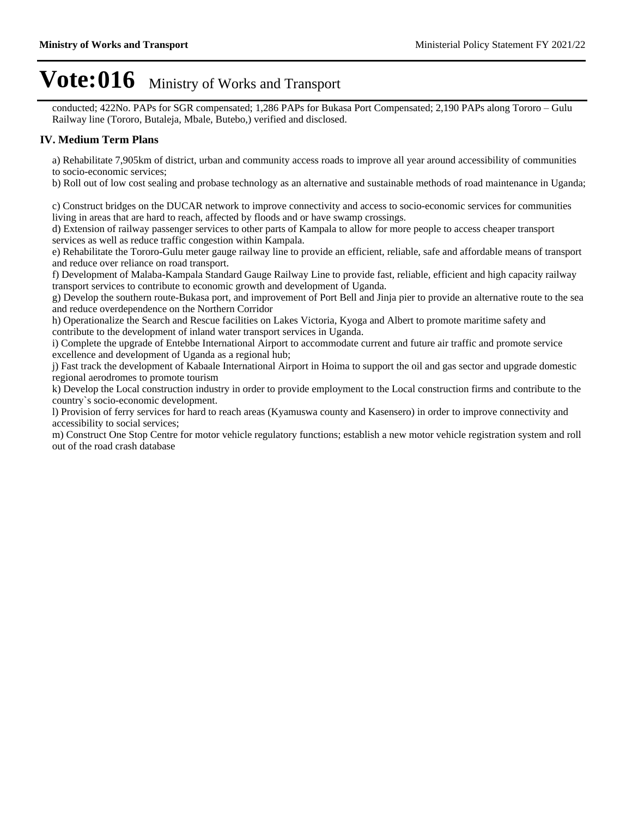conducted; 422No. PAPs for SGR compensated; 1,286 PAPs for Bukasa Port Compensated; 2,190 PAPs along Tororo – Gulu Railway line (Tororo, Butaleja, Mbale, Butebo,) verified and disclosed.

### **IV. Medium Term Plans**

a) Rehabilitate 7,905km of district, urban and community access roads to improve all year around accessibility of communities to socio-economic services;

b) Roll out of low cost sealing and probase technology as an alternative and sustainable methods of road maintenance in Uganda;

c) Construct bridges on the DUCAR network to improve connectivity and access to socio-economic services for communities living in areas that are hard to reach, affected by floods and or have swamp crossings.

d) Extension of railway passenger services to other parts of Kampala to allow for more people to access cheaper transport services as well as reduce traffic congestion within Kampala.

e) Rehabilitate the Tororo-Gulu meter gauge railway line to provide an efficient, reliable, safe and affordable means of transport and reduce over reliance on road transport.

f) Development of Malaba-Kampala Standard Gauge Railway Line to provide fast, reliable, efficient and high capacity railway transport services to contribute to economic growth and development of Uganda.

g) Develop the southern route-Bukasa port, and improvement of Port Bell and Jinja pier to provide an alternative route to the sea and reduce overdependence on the Northern Corridor

h) Operationalize the Search and Rescue facilities on Lakes Victoria, Kyoga and Albert to promote maritime safety and contribute to the development of inland water transport services in Uganda.

i) Complete the upgrade of Entebbe International Airport to accommodate current and future air traffic and promote service excellence and development of Uganda as a regional hub;

j) Fast track the development of Kabaale International Airport in Hoima to support the oil and gas sector and upgrade domestic regional aerodromes to promote tourism

k) Develop the Local construction industry in order to provide employment to the Local construction firms and contribute to the country`s socio-economic development.

l) Provision of ferry services for hard to reach areas (Kyamuswa county and Kasensero) in order to improve connectivity and accessibility to social services;

m) Construct One Stop Centre for motor vehicle regulatory functions; establish a new motor vehicle registration system and roll out of the road crash database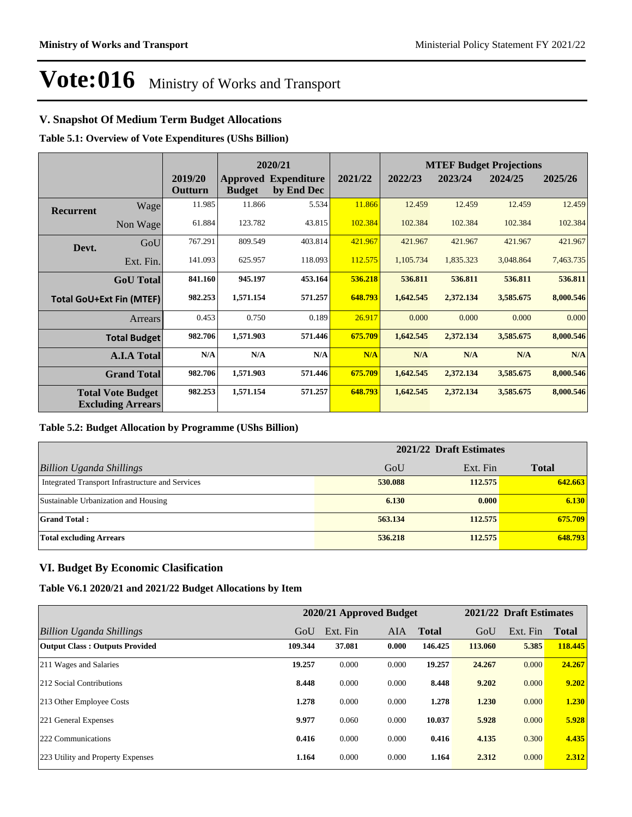### **V. Snapshot Of Medium Term Budget Allocations**

**Table 5.1: Overview of Vote Expenditures (UShs Billion)**

|           |                                                      |                           |               | 2020/21                                   |         |           |           | <b>MTEF Budget Projections</b> |           |  |
|-----------|------------------------------------------------------|---------------------------|---------------|-------------------------------------------|---------|-----------|-----------|--------------------------------|-----------|--|
|           |                                                      | 2019/20<br><b>Outturn</b> | <b>Budget</b> | <b>Approved Expenditure</b><br>by End Dec | 2021/22 | 2022/23   | 2023/24   | 2024/25                        | 2025/26   |  |
| Recurrent | Wage                                                 | 11.985                    | 11.866        | 5.534                                     | 11.866  | 12.459    | 12.459    | 12.459                         | 12.459    |  |
|           | Non Wage                                             | 61.884                    | 123.782       | 43.815                                    | 102.384 | 102.384   | 102.384   | 102.384                        | 102.384   |  |
| Devt.     | GoU                                                  | 767.291                   | 809.549       | 403.814                                   | 421.967 | 421.967   | 421.967   | 421.967                        | 421.967   |  |
|           | Ext. Fin.                                            | 141.093                   | 625.957       | 118.093                                   | 112.575 | 1,105.734 | 1,835.323 | 3,048.864                      | 7,463.735 |  |
|           | <b>GoU</b> Total                                     | 841.160                   | 945.197       | 453.164                                   | 536.218 | 536.811   | 536.811   | 536.811                        | 536.811   |  |
|           | <b>Total GoU+Ext Fin (MTEF)</b>                      | 982.253                   | 1,571.154     | 571.257                                   | 648.793 | 1,642.545 | 2,372.134 | 3,585.675                      | 8,000.546 |  |
|           | Arrears                                              | 0.453                     | 0.750         | 0.189                                     | 26.917  | 0.000     | 0.000     | 0.000                          | 0.000     |  |
|           | <b>Total Budget</b>                                  | 982.706                   | 1,571.903     | 571.446                                   | 675.709 | 1,642.545 | 2,372.134 | 3,585.675                      | 8,000.546 |  |
|           | <b>A.I.A Total</b>                                   | N/A                       | N/A           | N/A                                       | N/A     | N/A       | N/A       | N/A                            | N/A       |  |
|           | <b>Grand Total</b>                                   | 982.706                   | 1,571.903     | 571.446                                   | 675.709 | 1,642.545 | 2,372.134 | 3,585.675                      | 8,000.546 |  |
|           | <b>Total Vote Budget</b><br><b>Excluding Arrears</b> | 982.253                   | 1,571.154     | 571.257                                   | 648.793 | 1,642.545 | 2,372.134 | 3,585.675                      | 8,000.546 |  |

#### **Table 5.2: Budget Allocation by Programme (UShs Billion)**

|                                                  | 2021/22 Draft Estimates |          |              |  |  |  |
|--------------------------------------------------|-------------------------|----------|--------------|--|--|--|
| Billion Uganda Shillings                         | GoU                     | Ext. Fin | <b>Total</b> |  |  |  |
| Integrated Transport Infrastructure and Services | 530.088                 | 112.575  | 642.663      |  |  |  |
| Sustainable Urbanization and Housing             | 6.130                   | 0.000    | 6.130        |  |  |  |
| <b>Grand Total:</b>                              | 563.134                 | 112.575  | 675.709      |  |  |  |
| <b>Total excluding Arrears</b>                   | 536.218                 | 112,575  | 648.793      |  |  |  |

### **VI. Budget By Economic Clasification**

#### **Table V6.1 2020/21 and 2021/22 Budget Allocations by Item**

|                                       |         | 2020/21 Approved Budget |       | 2021/22 Draft Estimates |         |          |              |
|---------------------------------------|---------|-------------------------|-------|-------------------------|---------|----------|--------------|
| Billion Uganda Shillings              | GoU     | Ext. Fin                | AIA   | <b>Total</b>            | GoU     | Ext. Fin | <b>Total</b> |
| <b>Output Class: Outputs Provided</b> | 109.344 | 37.081                  | 0.000 | 146.425                 | 113.060 | 5.385    | 118.445      |
| 211 Wages and Salaries                | 19.257  | 0.000                   | 0.000 | 19.257                  | 24,267  | 0.000    | 24.267       |
| 212 Social Contributions              | 8.448   | 0.000                   | 0.000 | 8.448                   | 9.202   | 0.000    | 9.202        |
| 213 Other Employee Costs              | 1.278   | 0.000                   | 0.000 | 1.278                   | 1.230   | 0.000    | 1.230        |
| 221 General Expenses                  | 9.977   | 0.060                   | 0.000 | 10.037                  | 5.928   | 0.000    | 5.928        |
| 222 Communications                    | 0.416   | 0.000                   | 0.000 | 0.416                   | 4.135   | 0.300    | 4.435        |
| 223 Utility and Property Expenses     | 1.164   | 0.000                   | 0.000 | 1.164                   | 2.312   | 0.000    | 2.312        |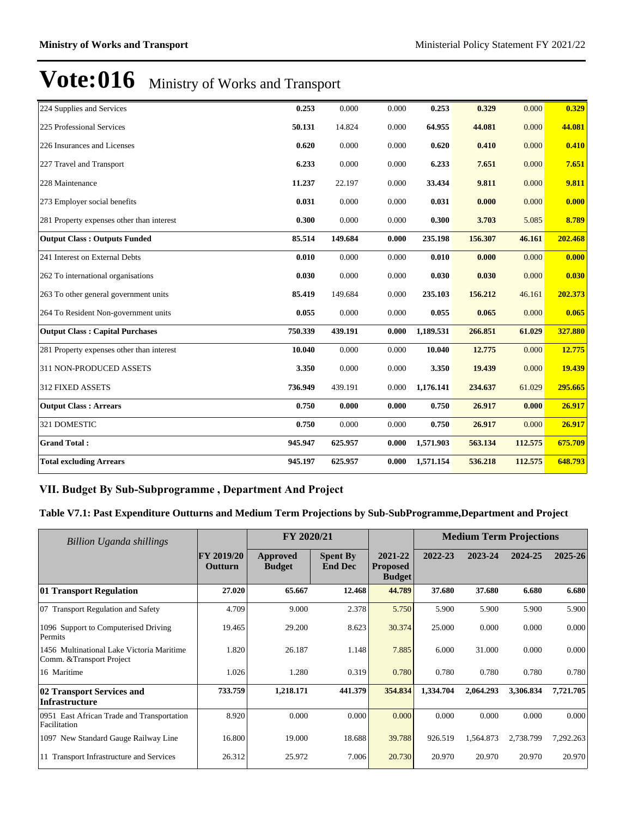| 224 Supplies and Services                 | 0.253   | 0.000   | 0.000 | 0.253     | 0.329   | 0.000   | 0.329   |
|-------------------------------------------|---------|---------|-------|-----------|---------|---------|---------|
| 225 Professional Services                 | 50.131  | 14.824  | 0.000 | 64.955    | 44.081  | 0.000   | 44.081  |
| 226 Insurances and Licenses               | 0.620   | 0.000   | 0.000 | 0.620     | 0.410   | 0.000   | 0.410   |
| 227 Travel and Transport                  | 6.233   | 0.000   | 0.000 | 6.233     | 7.651   | 0.000   | 7.651   |
| 228 Maintenance                           | 11.237  | 22.197  | 0.000 | 33.434    | 9.811   | 0.000   | 9.811   |
| 273 Employer social benefits              | 0.031   | 0.000   | 0.000 | 0.031     | 0.000   | 0.000   | 0.000   |
| 281 Property expenses other than interest | 0.300   | 0.000   | 0.000 | 0.300     | 3.703   | 5.085   | 8.789   |
| <b>Output Class: Outputs Funded</b>       | 85.514  | 149.684 | 0.000 | 235.198   | 156.307 | 46.161  | 202.468 |
| 241 Interest on External Debts            | 0.010   | 0.000   | 0.000 | 0.010     | 0.000   | 0.000   | 0.000   |
| 262 To international organisations        | 0.030   | 0.000   | 0.000 | 0.030     | 0.030   | 0.000   | 0.030   |
| 263 To other general government units     | 85.419  | 149.684 | 0.000 | 235.103   | 156.212 | 46.161  | 202.373 |
| 264 To Resident Non-government units      | 0.055   | 0.000   | 0.000 | 0.055     | 0.065   | 0.000   | 0.065   |
| <b>Output Class: Capital Purchases</b>    | 750.339 | 439.191 | 0.000 | 1,189.531 | 266.851 | 61.029  | 327.880 |
| 281 Property expenses other than interest | 10.040  | 0.000   | 0.000 | 10.040    | 12.775  | 0.000   | 12.775  |
| 311 NON-PRODUCED ASSETS                   | 3.350   | 0.000   | 0.000 | 3.350     | 19.439  | 0.000   | 19.439  |
| 312 FIXED ASSETS                          | 736.949 | 439.191 | 0.000 | 1,176.141 | 234.637 | 61.029  | 295.665 |
| <b>Output Class: Arrears</b>              | 0.750   | 0.000   | 0.000 | 0.750     | 26.917  | 0.000   | 26.917  |
| 321 DOMESTIC                              | 0.750   | 0.000   | 0.000 | 0.750     | 26.917  | 0.000   | 26.917  |
| <b>Grand Total:</b>                       | 945.947 | 625.957 | 0.000 | 1,571.903 | 563.134 | 112.575 | 675.709 |
| <b>Total excluding Arrears</b>            | 945.197 | 625.957 | 0.000 | 1,571.154 | 536.218 | 112.575 | 648.793 |

### VII. Budget By Sub-Subprogramme, Department And Project

**Table V7.1: Past Expenditure Outturns and Medium Term Projections by Sub-SubProgramme,Department and Project**

| Billion Uganda shillings                                               |                       | FY 2020/21                |                                   |                                             | <b>Medium Term Projections</b> |           |           |           |
|------------------------------------------------------------------------|-----------------------|---------------------------|-----------------------------------|---------------------------------------------|--------------------------------|-----------|-----------|-----------|
|                                                                        | FY 2019/20<br>Outturn | Approved<br><b>Budget</b> | <b>Spent By</b><br><b>End Dec</b> | 2021-22<br><b>Proposed</b><br><b>Budget</b> | 2022-23                        | 2023-24   | 2024-25   | 2025-26   |
| 01 Transport Regulation                                                | 27.020                | 65.667                    | 12.468                            | 44.789                                      | 37.680                         | 37.680    | 6.680     | 6.680     |
| 07 Transport Regulation and Safety                                     | 4.709                 | 9.000                     | 2.378                             | 5.750                                       | 5.900                          | 5.900     | 5.900     | 5.900     |
| 1096 Support to Computerised Driving<br>Permits                        | 19.465                | 29.200                    | 8.623                             | 30.374                                      | 25.000                         | 0.000     | 0.000     | 0.000     |
| 1456 Multinational Lake Victoria Maritime<br>Comm. & Transport Project | 1.820                 | 26.187                    | 1.148                             | 7.885                                       | 6.000                          | 31.000    | 0.000     | 0.000     |
| 16 Maritime                                                            | 1.026                 | 1.280                     | 0.319                             | 0.780                                       | 0.780                          | 0.780     | 0.780     | 0.780     |
| 02 Transport Services and<br><b>Infrastructure</b>                     | 733.759               | 1,218.171                 | 441.379                           | 354.834                                     | 1,334.704                      | 2,064.293 | 3,306.834 | 7,721.705 |
| 0951 East African Trade and Transportation<br>Facilitation             | 8.920                 | 0.000                     | 0.000                             | 0.000                                       | 0.000                          | 0.000     | 0.000     | 0.000     |
| 1097 New Standard Gauge Railway Line                                   | 16.800                | 19.000                    | 18.688                            | 39.788                                      | 926.519                        | 1,564.873 | 2,738.799 | 7,292.263 |
| 11 Transport Infrastructure and Services                               | 26.312                | 25.972                    | 7.006                             | 20.730                                      | 20.970                         | 20.970    | 20.970    | 20.970    |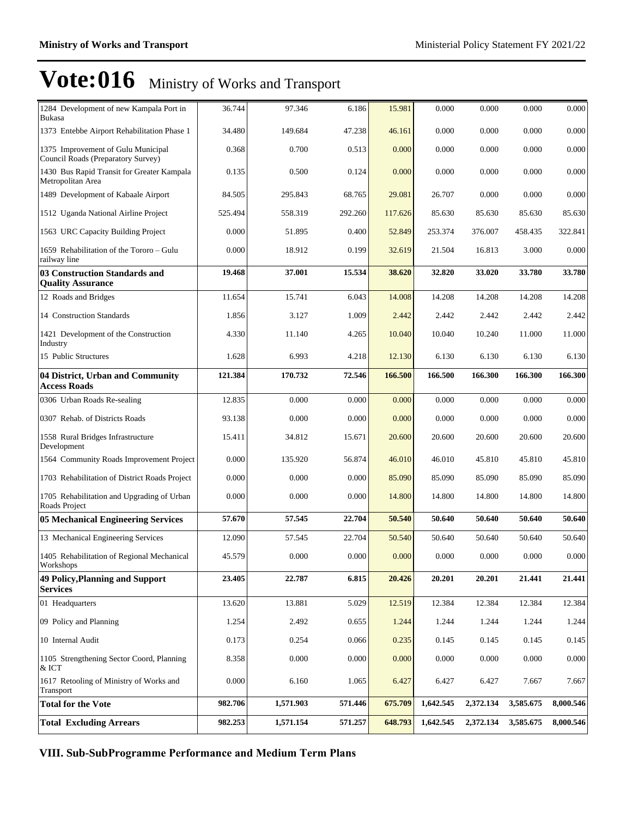| 1284 Development of new Kampala Port in<br>Bukasa                        | 36.744  | 97.346    | 6.186   | 15.981  | 0.000     | 0.000     | 0.000     | 0.000     |
|--------------------------------------------------------------------------|---------|-----------|---------|---------|-----------|-----------|-----------|-----------|
| 1373 Entebbe Airport Rehabilitation Phase 1                              | 34.480  | 149.684   | 47.238  | 46.161  | 0.000     | 0.000     | 0.000     | 0.000     |
| 1375 Improvement of Gulu Municipal<br>Council Roads (Preparatory Survey) | 0.368   | 0.700     | 0.513   | 0.000   | 0.000     | 0.000     | 0.000     | 0.000     |
| 1430 Bus Rapid Transit for Greater Kampala<br>Metropolitan Area          | 0.135   | 0.500     | 0.124   | 0.000   | 0.000     | 0.000     | 0.000     | 0.000     |
| 1489 Development of Kabaale Airport                                      | 84.505  | 295.843   | 68.765  | 29.081  | 26.707    | 0.000     | 0.000     | 0.000     |
| 1512 Uganda National Airline Project                                     | 525.494 | 558.319   | 292.260 | 117.626 | 85.630    | 85.630    | 85.630    | 85.630    |
| 1563 URC Capacity Building Project                                       | 0.000   | 51.895    | 0.400   | 52.849  | 253.374   | 376.007   | 458.435   | 322.841   |
| 1659 Rehabilitation of the Tororo – Gulu<br>railway line                 | 0.000   | 18.912    | 0.199   | 32.619  | 21.504    | 16.813    | 3.000     | 0.000     |
| 03 Construction Standards and<br><b>Quality Assurance</b>                | 19.468  | 37.001    | 15.534  | 38.620  | 32.820    | 33.020    | 33.780    | 33.780    |
| 12 Roads and Bridges                                                     | 11.654  | 15.741    | 6.043   | 14.008  | 14.208    | 14.208    | 14.208    | 14.208    |
| 14 Construction Standards                                                | 1.856   | 3.127     | 1.009   | 2.442   | 2.442     | 2.442     | 2.442     | 2.442     |
| 1421 Development of the Construction<br>Industry                         | 4.330   | 11.140    | 4.265   | 10.040  | 10.040    | 10.240    | 11.000    | 11.000    |
| 15 Public Structures                                                     | 1.628   | 6.993     | 4.218   | 12.130  | 6.130     | 6.130     | 6.130     | 6.130     |
| 04 District, Urban and Community<br><b>Access Roads</b>                  | 121.384 | 170.732   | 72.546  | 166.500 | 166.500   | 166.300   | 166.300   | 166.300   |
| 0306 Urban Roads Re-sealing                                              | 12.835  | 0.000     | 0.000   | 0.000   | 0.000     | 0.000     | 0.000     | 0.000     |
| 0307 Rehab. of Districts Roads                                           | 93.138  | 0.000     | 0.000   | 0.000   | 0.000     | 0.000     | 0.000     | 0.000     |
| 1558 Rural Bridges Infrastructure<br>Development                         | 15.411  | 34.812    | 15.671  | 20.600  | 20.600    | 20.600    | 20.600    | 20.600    |
| 1564 Community Roads Improvement Project                                 | 0.000   | 135.920   | 56.874  | 46.010  | 46.010    | 45.810    | 45.810    | 45.810    |
| 1703 Rehabilitation of District Roads Project                            | 0.000   | 0.000     | 0.000   | 85.090  | 85.090    | 85.090    | 85.090    | 85.090    |
| 1705 Rehabilitation and Upgrading of Urban<br>Roads Project              | 0.000   | 0.000     | 0.000   | 14.800  | 14.800    | 14.800    | 14.800    | 14.800    |
| <b>05 Mechanical Engineering Services</b>                                | 57.670  | 57.545    | 22.704  | 50.540  | 50.640    | 50.640    | 50.640    | 50.640    |
| 13 Mechanical Engineering Services                                       | 12.090  | 57.545    | 22.704  | 50.540  | 50.640    | 50.640    | 50.640    | 50.640    |
| 1405 Rehabilitation of Regional Mechanical<br>Workshops                  | 45.579  | 0.000     | 0.000   | 0.000   | 0.000     | 0.000     | 0.000     | $0.000\,$ |
| <b>49 Policy, Planning and Support</b><br><b>Services</b>                | 23.405  | 22.787    | 6.815   | 20.426  | 20.201    | 20.201    | 21.441    | 21.441    |
| 01 Headquarters                                                          | 13.620  | 13.881    | 5.029   | 12.519  | 12.384    | 12.384    | 12.384    | 12.384    |
| 09 Policy and Planning                                                   | 1.254   | 2.492     | 0.655   | 1.244   | 1.244     | 1.244     | 1.244     | 1.244     |
| 10 Internal Audit                                                        | 0.173   | 0.254     | 0.066   | 0.235   | 0.145     | 0.145     | 0.145     | 0.145     |
| 1105 Strengthening Sector Coord, Planning<br>& ICT                       | 8.358   | 0.000     | 0.000   | 0.000   | 0.000     | 0.000     | 0.000     | 0.000     |
| 1617 Retooling of Ministry of Works and<br>Transport                     | 0.000   | 6.160     | 1.065   | 6.427   | 6.427     | 6.427     | 7.667     | 7.667     |
| <b>Total for the Vote</b>                                                | 982.706 | 1,571.903 | 571.446 | 675.709 | 1,642.545 | 2,372.134 | 3,585.675 | 8,000.546 |
| <b>Total Excluding Arrears</b>                                           | 982.253 | 1,571.154 | 571.257 | 648.793 | 1,642.545 | 2,372.134 | 3,585.675 | 8,000.546 |

**VIII. Sub-SubProgramme Performance and Medium Term Plans**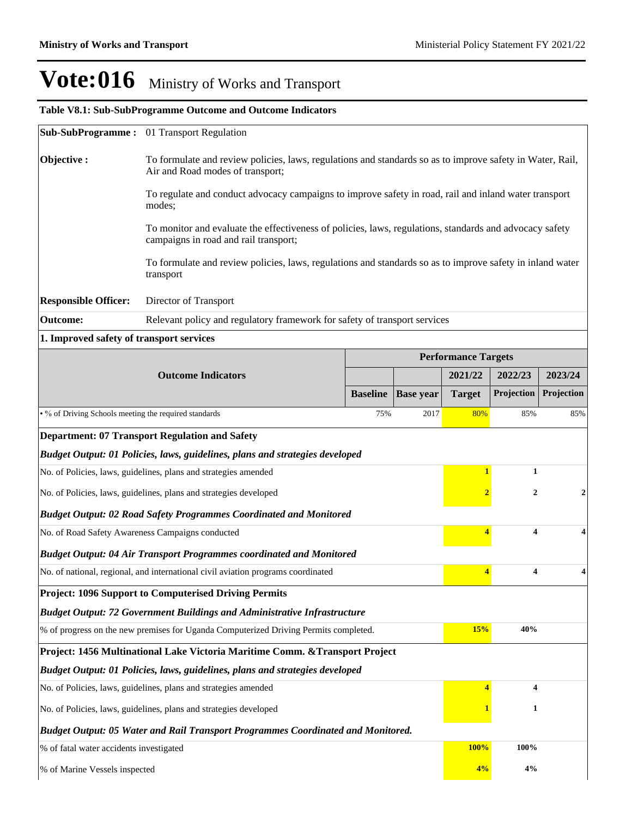### **Table V8.1: Sub-SubProgramme Outcome and Outcome Indicators**

|                                                                                         | Sub-SubProgramme: 01 Transport Regulation                                                                                                        |                                                                                                           |                  |                            |                         |                  |  |  |  |
|-----------------------------------------------------------------------------------------|--------------------------------------------------------------------------------------------------------------------------------------------------|-----------------------------------------------------------------------------------------------------------|------------------|----------------------------|-------------------------|------------------|--|--|--|
| Objective:                                                                              | To formulate and review policies, laws, regulations and standards so as to improve safety in Water, Rail,<br>Air and Road modes of transport;    |                                                                                                           |                  |                            |                         |                  |  |  |  |
|                                                                                         | To regulate and conduct advocacy campaigns to improve safety in road, rail and inland water transport<br>modes;                                  |                                                                                                           |                  |                            |                         |                  |  |  |  |
|                                                                                         | To monitor and evaluate the effectiveness of policies, laws, regulations, standards and advocacy safety<br>campaigns in road and rail transport; |                                                                                                           |                  |                            |                         |                  |  |  |  |
|                                                                                         | transport                                                                                                                                        | To formulate and review policies, laws, regulations and standards so as to improve safety in inland water |                  |                            |                         |                  |  |  |  |
| <b>Responsible Officer:</b>                                                             | Director of Transport                                                                                                                            |                                                                                                           |                  |                            |                         |                  |  |  |  |
| <b>Outcome:</b>                                                                         |                                                                                                                                                  | Relevant policy and regulatory framework for safety of transport services                                 |                  |                            |                         |                  |  |  |  |
| 1. Improved safety of transport services                                                |                                                                                                                                                  |                                                                                                           |                  |                            |                         |                  |  |  |  |
|                                                                                         |                                                                                                                                                  |                                                                                                           |                  | <b>Performance Targets</b> |                         |                  |  |  |  |
|                                                                                         | <b>Outcome Indicators</b>                                                                                                                        |                                                                                                           |                  | 2021/22                    | 2022/23                 | 2023/24          |  |  |  |
|                                                                                         |                                                                                                                                                  | <b>Baseline</b>                                                                                           | <b>Base year</b> | <b>Target</b>              | Projection              | Projection       |  |  |  |
|                                                                                         | • % of Driving Schools meeting the required standards<br>75%<br>2017                                                                             |                                                                                                           |                  |                            |                         | 85%              |  |  |  |
|                                                                                         | <b>Department: 07 Transport Regulation and Safety</b>                                                                                            |                                                                                                           |                  |                            |                         |                  |  |  |  |
|                                                                                         | Budget Output: 01 Policies, laws, guidelines, plans and strategies developed                                                                     |                                                                                                           |                  |                            |                         |                  |  |  |  |
|                                                                                         | No. of Policies, laws, guidelines, plans and strategies amended                                                                                  |                                                                                                           |                  | $\mathbf{1}$               | 1                       |                  |  |  |  |
|                                                                                         | No. of Policies, laws, guidelines, plans and strategies developed                                                                                |                                                                                                           |                  | $\overline{2}$             | $\boldsymbol{2}$        | $\boldsymbol{2}$ |  |  |  |
|                                                                                         | <b>Budget Output: 02 Road Safety Programmes Coordinated and Monitored</b>                                                                        |                                                                                                           |                  |                            |                         |                  |  |  |  |
| No. of Road Safety Awareness Campaigns conducted                                        |                                                                                                                                                  |                                                                                                           |                  | $\overline{4}$             | 4                       | 4                |  |  |  |
|                                                                                         | <b>Budget Output: 04 Air Transport Programmes coordinated and Monitored</b>                                                                      |                                                                                                           |                  |                            |                         |                  |  |  |  |
|                                                                                         | No. of national, regional, and international civil aviation programs coordinated                                                                 |                                                                                                           |                  | 4                          | $\overline{\mathbf{4}}$ | 4                |  |  |  |
|                                                                                         | <b>Project: 1096 Support to Computerised Driving Permits</b>                                                                                     |                                                                                                           |                  |                            |                         |                  |  |  |  |
|                                                                                         | <b>Budget Output: 72 Government Buildings and Administrative Infrastructure</b>                                                                  |                                                                                                           |                  |                            |                         |                  |  |  |  |
|                                                                                         | % of progress on the new premises for Uganda Computerized Driving Permits completed.                                                             |                                                                                                           |                  | 15%                        | 40%                     |                  |  |  |  |
|                                                                                         | Project: 1456 Multinational Lake Victoria Maritime Comm. & Transport Project                                                                     |                                                                                                           |                  |                            |                         |                  |  |  |  |
|                                                                                         | Budget Output: 01 Policies, laws, guidelines, plans and strategies developed                                                                     |                                                                                                           |                  |                            |                         |                  |  |  |  |
|                                                                                         | No. of Policies, laws, guidelines, plans and strategies amended                                                                                  |                                                                                                           |                  | $\overline{4}$             | 4                       |                  |  |  |  |
| No. of Policies, laws, guidelines, plans and strategies developed                       |                                                                                                                                                  |                                                                                                           |                  |                            | 1                       |                  |  |  |  |
| <b>Budget Output: 05 Water and Rail Transport Programmes Coordinated and Monitored.</b> |                                                                                                                                                  |                                                                                                           |                  |                            |                         |                  |  |  |  |
| % of fatal water accidents investigated                                                 |                                                                                                                                                  |                                                                                                           |                  | 100%                       | 100%                    |                  |  |  |  |
| % of Marine Vessels inspected                                                           |                                                                                                                                                  |                                                                                                           |                  | 4%                         | 4%                      |                  |  |  |  |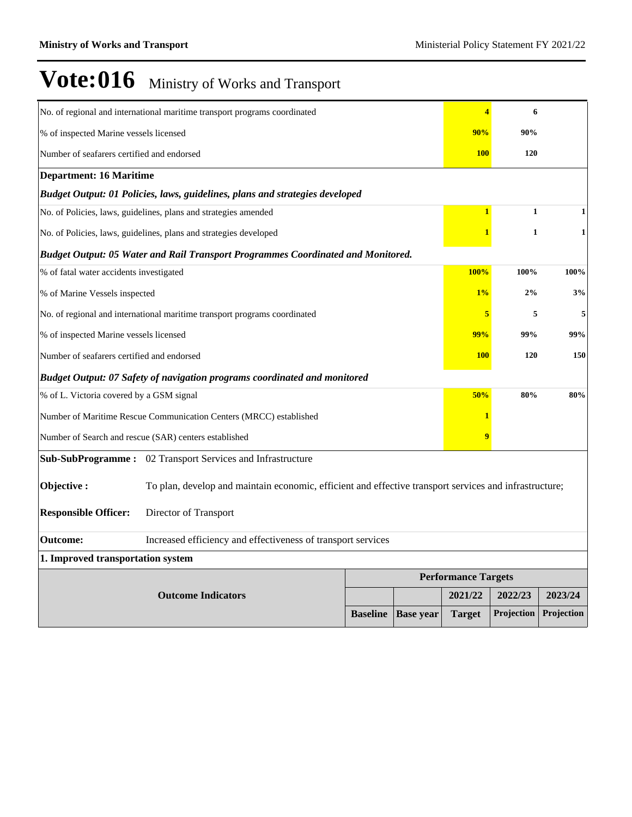|                                            | No. of regional and international maritime transport programs coordinated                              |                 |                  | 4                          | 6            |              |
|--------------------------------------------|--------------------------------------------------------------------------------------------------------|-----------------|------------------|----------------------------|--------------|--------------|
| % of inspected Marine vessels licensed     |                                                                                                        |                 |                  | 90%                        | 90%          |              |
| Number of seafarers certified and endorsed |                                                                                                        |                 |                  | <b>100</b>                 | <b>120</b>   |              |
| <b>Department: 16 Maritime</b>             |                                                                                                        |                 |                  |                            |              |              |
|                                            | Budget Output: 01 Policies, laws, guidelines, plans and strategies developed                           |                 |                  |                            |              |              |
|                                            | No. of Policies, laws, guidelines, plans and strategies amended                                        |                 |                  | $\mathbf{1}$               | $\mathbf{1}$ | 1            |
|                                            | No. of Policies, laws, guidelines, plans and strategies developed                                      |                 |                  | 1                          | $\mathbf{1}$ | $\mathbf{1}$ |
|                                            | Budget Output: 05 Water and Rail Transport Programmes Coordinated and Monitored.                       |                 |                  |                            |              |              |
| % of fatal water accidents investigated    |                                                                                                        |                 |                  | <b>100%</b>                | 100%         | 100%         |
| % of Marine Vessels inspected              |                                                                                                        |                 |                  |                            | 1%<br>2%     | 3%           |
|                                            | No. of regional and international maritime transport programs coordinated                              |                 |                  |                            |              | 5<br>5       |
| % of inspected Marine vessels licensed     |                                                                                                        |                 |                  |                            | 99%<br>99%   | 99%          |
| Number of seafarers certified and endorsed |                                                                                                        |                 |                  | <b>100</b>                 | <b>120</b>   | 150          |
|                                            | Budget Output: 07 Safety of navigation programs coordinated and monitored                              |                 |                  |                            |              |              |
| % of L. Victoria covered by a GSM signal   |                                                                                                        |                 |                  | 50%                        | 80%          | 80%          |
|                                            | Number of Maritime Rescue Communication Centers (MRCC) established                                     |                 |                  | 1                          |              |              |
|                                            | Number of Search and rescue (SAR) centers established                                                  |                 |                  | 9                          |              |              |
|                                            | Sub-SubProgramme: 02 Transport Services and Infrastructure                                             |                 |                  |                            |              |              |
| Objective:                                 | To plan, develop and maintain economic, efficient and effective transport services and infrastructure; |                 |                  |                            |              |              |
| <b>Responsible Officer:</b>                | Director of Transport                                                                                  |                 |                  |                            |              |              |
| <b>Outcome:</b>                            | Increased efficiency and effectiveness of transport services                                           |                 |                  |                            |              |              |
| 1. Improved transportation system          |                                                                                                        |                 |                  |                            |              |              |
|                                            |                                                                                                        |                 |                  | <b>Performance Targets</b> |              |              |
|                                            | <b>Outcome Indicators</b>                                                                              |                 |                  | 2021/22                    | 2022/23      | 2023/24      |
|                                            |                                                                                                        | <b>Baseline</b> | <b>Base year</b> | <b>Target</b>              | Projection   | Projection   |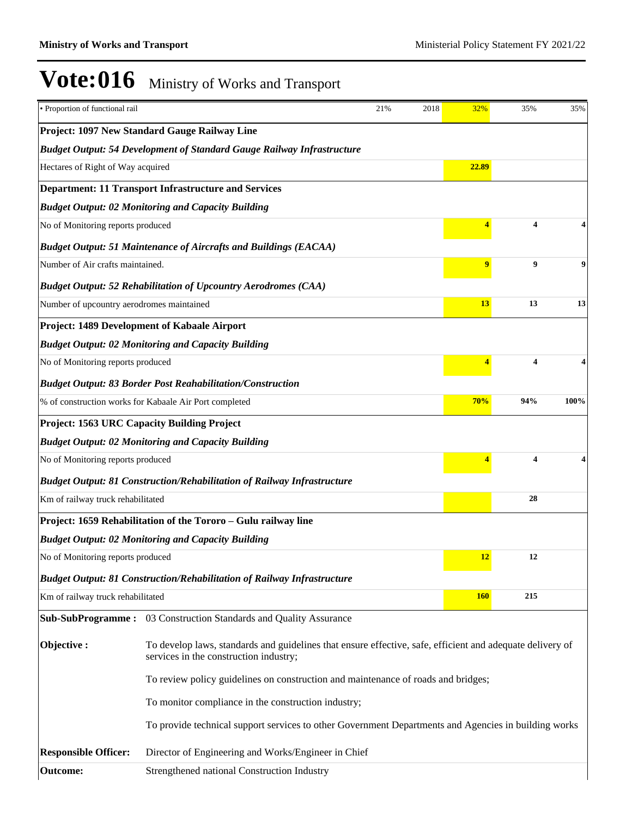| · Proportion of functional rail           |                                                                                                                                                     | 21% | 2018 | 32%        | 35% | 35%  |
|-------------------------------------------|-----------------------------------------------------------------------------------------------------------------------------------------------------|-----|------|------------|-----|------|
|                                           | Project: 1097 New Standard Gauge Railway Line                                                                                                       |     |      |            |     |      |
|                                           | <b>Budget Output: 54 Development of Standard Gauge Railway Infrastructure</b>                                                                       |     |      |            |     |      |
| Hectares of Right of Way acquired         |                                                                                                                                                     |     |      | 22.89      |     |      |
|                                           | <b>Department: 11 Transport Infrastructure and Services</b>                                                                                         |     |      |            |     |      |
|                                           | <b>Budget Output: 02 Monitoring and Capacity Building</b>                                                                                           |     |      |            |     |      |
| No of Monitoring reports produced         |                                                                                                                                                     |     |      |            | 4   |      |
|                                           | <b>Budget Output: 51 Maintenance of Aircrafts and Buildings (EACAA)</b>                                                                             |     |      |            |     |      |
| Number of Air crafts maintained.          |                                                                                                                                                     |     |      | 9          | 9   | 9    |
|                                           | <b>Budget Output: 52 Rehabilitation of Upcountry Aerodromes (CAA)</b>                                                                               |     |      |            |     |      |
| Number of upcountry aerodromes maintained |                                                                                                                                                     |     |      | 13         | 13  | 13   |
|                                           | Project: 1489 Development of Kabaale Airport                                                                                                        |     |      |            |     |      |
|                                           | <b>Budget Output: 02 Monitoring and Capacity Building</b>                                                                                           |     |      |            |     |      |
| No of Monitoring reports produced         |                                                                                                                                                     |     |      |            | 4   |      |
|                                           | <b>Budget Output: 83 Border Post Reahabilitation/Construction</b>                                                                                   |     |      |            |     |      |
|                                           | % of construction works for Kabaale Air Port completed                                                                                              |     |      | 70%        | 94% | 100% |
|                                           | <b>Project: 1563 URC Capacity Building Project</b>                                                                                                  |     |      |            |     |      |
|                                           | <b>Budget Output: 02 Monitoring and Capacity Building</b>                                                                                           |     |      |            |     |      |
| No of Monitoring reports produced         |                                                                                                                                                     |     |      |            | 4   |      |
|                                           | <b>Budget Output: 81 Construction/Rehabilitation of Railway Infrastructure</b>                                                                      |     |      |            |     |      |
| Km of railway truck rehabilitated         |                                                                                                                                                     |     |      |            | 28  |      |
|                                           | Project: 1659 Rehabilitation of the Tororo - Gulu railway line                                                                                      |     |      |            |     |      |
|                                           | <b>Budget Output: 02 Monitoring and Capacity Building</b>                                                                                           |     |      |            |     |      |
| No of Monitoring reports produced         |                                                                                                                                                     |     |      | 12         | 12  |      |
|                                           | <b>Budget Output: 81 Construction/Rehabilitation of Railway Infrastructure</b>                                                                      |     |      |            |     |      |
| Km of railway truck rehabilitated         |                                                                                                                                                     |     |      | <b>160</b> | 215 |      |
|                                           | Sub-SubProgramme: 03 Construction Standards and Quality Assurance                                                                                   |     |      |            |     |      |
| Objective:                                | To develop laws, standards and guidelines that ensure effective, safe, efficient and adequate delivery of<br>services in the construction industry; |     |      |            |     |      |
|                                           | To review policy guidelines on construction and maintenance of roads and bridges;                                                                   |     |      |            |     |      |
|                                           | To monitor compliance in the construction industry;                                                                                                 |     |      |            |     |      |
|                                           | To provide technical support services to other Government Departments and Agencies in building works                                                |     |      |            |     |      |
| <b>Responsible Officer:</b>               | Director of Engineering and Works/Engineer in Chief                                                                                                 |     |      |            |     |      |
| <b>Outcome:</b>                           | Strengthened national Construction Industry                                                                                                         |     |      |            |     |      |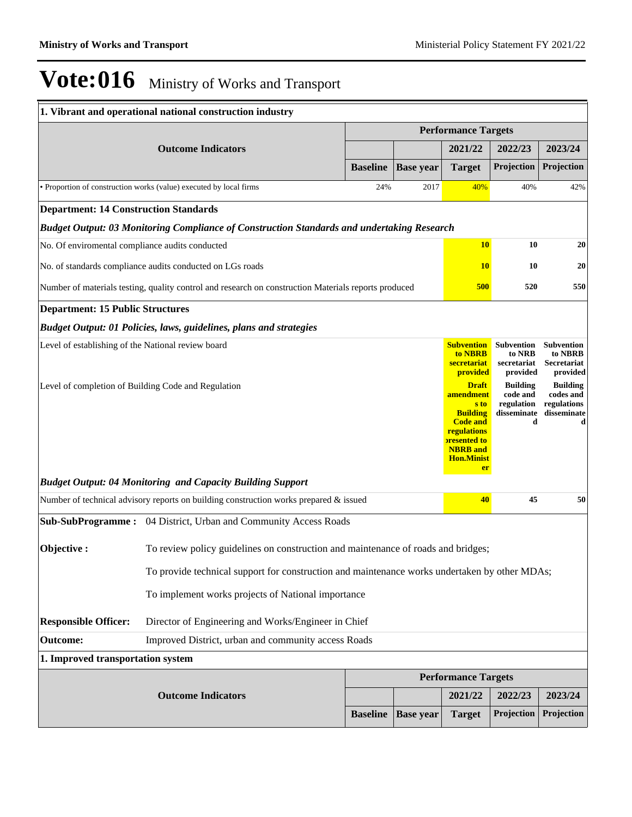# $\textbf{Vote:016}$  Ministry of Works and Transport

|                                                                                                           | 1. Vibrant and operational national construction industry                                                                                                                                                                                                                                                   |                 |                  |                                                                                                                                                                                                                               |                                                                                                                         |                                                                                                                                   |
|-----------------------------------------------------------------------------------------------------------|-------------------------------------------------------------------------------------------------------------------------------------------------------------------------------------------------------------------------------------------------------------------------------------------------------------|-----------------|------------------|-------------------------------------------------------------------------------------------------------------------------------------------------------------------------------------------------------------------------------|-------------------------------------------------------------------------------------------------------------------------|-----------------------------------------------------------------------------------------------------------------------------------|
|                                                                                                           |                                                                                                                                                                                                                                                                                                             |                 |                  | <b>Performance Targets</b>                                                                                                                                                                                                    |                                                                                                                         |                                                                                                                                   |
|                                                                                                           | <b>Outcome Indicators</b>                                                                                                                                                                                                                                                                                   |                 |                  | 2021/22                                                                                                                                                                                                                       | 2022/23                                                                                                                 | 2023/24                                                                                                                           |
|                                                                                                           |                                                                                                                                                                                                                                                                                                             | <b>Baseline</b> | <b>Base year</b> | <b>Target</b>                                                                                                                                                                                                                 | Projection                                                                                                              | Projection                                                                                                                        |
|                                                                                                           | • Proportion of construction works (value) executed by local firms                                                                                                                                                                                                                                          | 24%             | 2017             | 40%                                                                                                                                                                                                                           | 40%                                                                                                                     | 42%                                                                                                                               |
| <b>Department: 14 Construction Standards</b>                                                              |                                                                                                                                                                                                                                                                                                             |                 |                  |                                                                                                                                                                                                                               |                                                                                                                         |                                                                                                                                   |
|                                                                                                           | Budget Output: 03 Monitoring Compliance of Construction Standards and undertaking Research                                                                                                                                                                                                                  |                 |                  |                                                                                                                                                                                                                               |                                                                                                                         |                                                                                                                                   |
| No. Of enviromental compliance audits conducted                                                           |                                                                                                                                                                                                                                                                                                             |                 |                  | <b>10</b>                                                                                                                                                                                                                     | 10                                                                                                                      | 20                                                                                                                                |
|                                                                                                           | No. of standards compliance audits conducted on LGs roads                                                                                                                                                                                                                                                   |                 |                  | <b>10</b>                                                                                                                                                                                                                     | 10                                                                                                                      | 20                                                                                                                                |
| Number of materials testing, quality control and research on construction Materials reports produced      |                                                                                                                                                                                                                                                                                                             |                 |                  |                                                                                                                                                                                                                               | <b>500</b><br>520                                                                                                       | 550                                                                                                                               |
| <b>Department: 15 Public Structures</b>                                                                   |                                                                                                                                                                                                                                                                                                             |                 |                  |                                                                                                                                                                                                                               |                                                                                                                         |                                                                                                                                   |
|                                                                                                           | <b>Budget Output: 01 Policies, laws, guidelines, plans and strategies</b>                                                                                                                                                                                                                                   |                 |                  |                                                                                                                                                                                                                               |                                                                                                                         |                                                                                                                                   |
| Level of establishing of the National review board<br>Level of completion of Building Code and Regulation |                                                                                                                                                                                                                                                                                                             |                 |                  | <b>Subvention</b><br>to NBRB<br>secretariat<br>provided<br><b>Draft</b><br>amendment<br>s to<br><b>Building</b><br><b>Code and</b><br>regulations<br><b>presented to</b><br><b>NBRB</b> and<br><b>Hon.Minist</b><br><b>er</b> | <b>Subvention</b><br>to NRB<br>secretariat<br>provided<br><b>Building</b><br>code and<br>regulation<br>disseminate<br>d | <b>Subvention</b><br>to NBRB<br><b>Secretariat</b><br>provided<br><b>Building</b><br>codes and<br>regulations<br>disseminate<br>d |
|                                                                                                           | <b>Budget Output: 04 Monitoring and Capacity Building Support</b>                                                                                                                                                                                                                                           |                 |                  |                                                                                                                                                                                                                               |                                                                                                                         |                                                                                                                                   |
|                                                                                                           | Number of technical advisory reports on building construction works prepared & issued                                                                                                                                                                                                                       |                 |                  | 40                                                                                                                                                                                                                            | 45                                                                                                                      | 50                                                                                                                                |
| Objective:                                                                                                | Sub-SubProgramme: 04 District, Urban and Community Access Roads<br>To review policy guidelines on construction and maintenance of roads and bridges;<br>To provide technical support for construction and maintenance works undertaken by other MDAs;<br>To implement works projects of National importance |                 |                  |                                                                                                                                                                                                                               |                                                                                                                         |                                                                                                                                   |
| <b>Responsible Officer:</b>                                                                               | Director of Engineering and Works/Engineer in Chief                                                                                                                                                                                                                                                         |                 |                  |                                                                                                                                                                                                                               |                                                                                                                         |                                                                                                                                   |
| <b>Outcome:</b>                                                                                           | Improved District, urban and community access Roads                                                                                                                                                                                                                                                         |                 |                  |                                                                                                                                                                                                                               |                                                                                                                         |                                                                                                                                   |
| 1. Improved transportation system                                                                         |                                                                                                                                                                                                                                                                                                             |                 |                  |                                                                                                                                                                                                                               |                                                                                                                         |                                                                                                                                   |
|                                                                                                           |                                                                                                                                                                                                                                                                                                             |                 |                  | <b>Performance Targets</b>                                                                                                                                                                                                    |                                                                                                                         |                                                                                                                                   |
|                                                                                                           | <b>Outcome Indicators</b>                                                                                                                                                                                                                                                                                   |                 |                  | 2021/22                                                                                                                                                                                                                       | 2022/23                                                                                                                 | 2023/24                                                                                                                           |
|                                                                                                           |                                                                                                                                                                                                                                                                                                             | <b>Baseline</b> | <b>Base year</b> | <b>Target</b>                                                                                                                                                                                                                 | Projection                                                                                                              | Projection                                                                                                                        |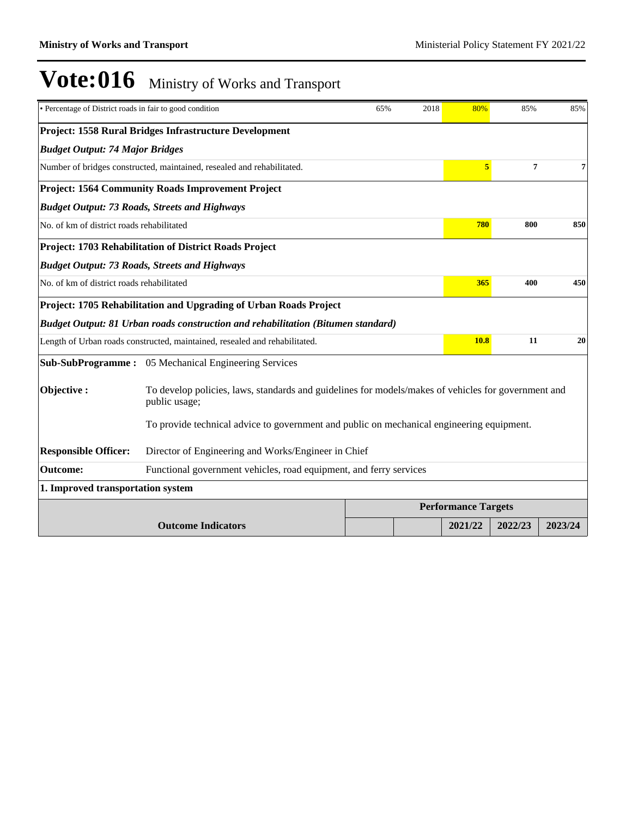| · Percentage of District roads in fair to good condition |                                                                                                                      | 65%                        | 2018 | 80%            | 85%            | 85%     |
|----------------------------------------------------------|----------------------------------------------------------------------------------------------------------------------|----------------------------|------|----------------|----------------|---------|
|                                                          | Project: 1558 Rural Bridges Infrastructure Development                                                               |                            |      |                |                |         |
| <b>Budget Output: 74 Major Bridges</b>                   |                                                                                                                      |                            |      |                |                |         |
|                                                          | Number of bridges constructed, maintained, resealed and rehabilitated.                                               |                            |      | $\overline{5}$ | $\overline{7}$ | 7       |
|                                                          | <b>Project: 1564 Community Roads Improvement Project</b>                                                             |                            |      |                |                |         |
|                                                          | <b>Budget Output: 73 Roads, Streets and Highways</b>                                                                 |                            |      |                |                |         |
| No. of km of district roads rehabilitated                |                                                                                                                      |                            |      | 780            | 800            | 850     |
|                                                          | Project: 1703 Rehabilitation of District Roads Project                                                               |                            |      |                |                |         |
|                                                          | <b>Budget Output: 73 Roads, Streets and Highways</b>                                                                 |                            |      |                |                |         |
| No. of km of district roads rehabilitated                |                                                                                                                      |                            |      |                | 365<br>400     | 450     |
|                                                          | Project: 1705 Rehabilitation and Upgrading of Urban Roads Project                                                    |                            |      |                |                |         |
|                                                          | Budget Output: 81 Urban roads construction and rehabilitation (Bitumen standard)                                     |                            |      |                |                |         |
|                                                          | Length of Urban roads constructed, maintained, resealed and rehabilitated.                                           |                            |      | <b>10.8</b>    | 11             | 20      |
|                                                          | <b>Sub-SubProgramme:</b> 05 Mechanical Engineering Services                                                          |                            |      |                |                |         |
| Objective:                                               | To develop policies, laws, standards and guidelines for models/makes of vehicles for government and<br>public usage; |                            |      |                |                |         |
|                                                          | To provide technical advice to government and public on mechanical engineering equipment.                            |                            |      |                |                |         |
| <b>Responsible Officer:</b>                              | Director of Engineering and Works/Engineer in Chief                                                                  |                            |      |                |                |         |
| <b>Outcome:</b>                                          | Functional government vehicles, road equipment, and ferry services                                                   |                            |      |                |                |         |
| 1. Improved transportation system                        |                                                                                                                      |                            |      |                |                |         |
|                                                          |                                                                                                                      | <b>Performance Targets</b> |      |                |                |         |
|                                                          | <b>Outcome Indicators</b>                                                                                            |                            |      | 2021/22        | 2022/23        | 2023/24 |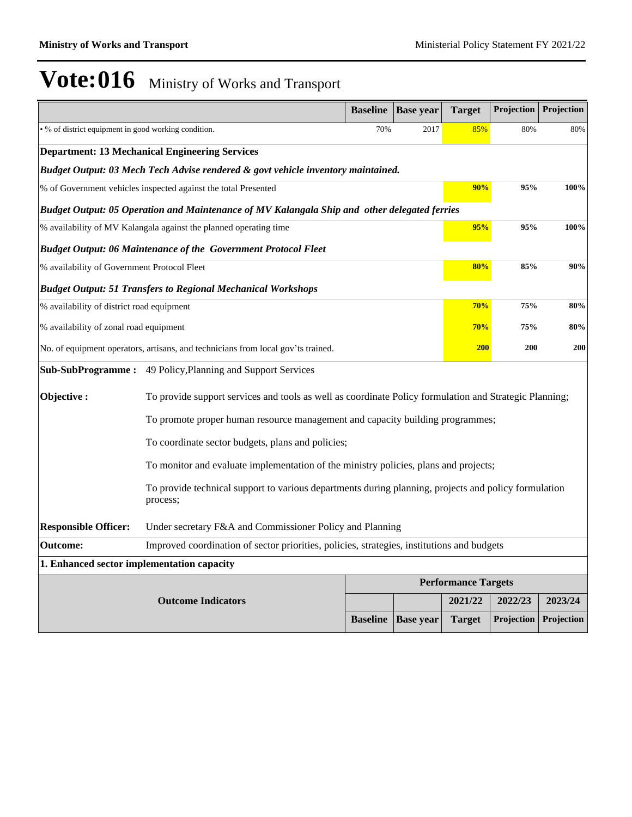|                                                      |                                                                                                                  | <b>Baseline</b> | <b>Base year</b> | <b>Target</b>              | Projection | Projection |  |
|------------------------------------------------------|------------------------------------------------------------------------------------------------------------------|-----------------|------------------|----------------------------|------------|------------|--|
| • % of district equipment in good working condition. |                                                                                                                  | 70%             | 2017             | 85%                        | 80%        | 80%        |  |
|                                                      | <b>Department: 13 Mechanical Engineering Services</b>                                                            |                 |                  |                            |            |            |  |
|                                                      | Budget Output: 03 Mech Tech Advise rendered & govt vehicle inventory maintained.                                 |                 |                  |                            |            |            |  |
|                                                      | % of Government vehicles inspected against the total Presented                                                   |                 |                  | 90%                        | 95%        | 100%       |  |
|                                                      | Budget Output: 05 Operation and Maintenance of MV Kalangala Ship and other delegated ferries                     |                 |                  |                            |            |            |  |
|                                                      | % availability of MV Kalangala against the planned operating time                                                |                 |                  | 95%                        | 95%        | 100%       |  |
|                                                      | <b>Budget Output: 06 Maintenance of the Government Protocol Fleet</b>                                            |                 |                  |                            |            |            |  |
| % availability of Government Protocol Fleet          |                                                                                                                  |                 |                  | 80%                        | 85%        | 90%        |  |
|                                                      | <b>Budget Output: 51 Transfers to Regional Mechanical Workshops</b>                                              |                 |                  |                            |            |            |  |
| % availability of district road equipment            |                                                                                                                  |                 |                  | 70%                        | 75%        | 80%        |  |
| % availability of zonal road equipment               |                                                                                                                  | 70%             | 75%              | 80%                        |            |            |  |
|                                                      | No. of equipment operators, artisans, and technicians from local gov'ts trained.                                 |                 |                  | <b>200</b>                 | <b>200</b> | 200        |  |
|                                                      | Sub-SubProgramme: 49 Policy, Planning and Support Services                                                       |                 |                  |                            |            |            |  |
| Objective:                                           | To provide support services and tools as well as coordinate Policy formulation and Strategic Planning;           |                 |                  |                            |            |            |  |
|                                                      | To promote proper human resource management and capacity building programmes;                                    |                 |                  |                            |            |            |  |
|                                                      | To coordinate sector budgets, plans and policies;                                                                |                 |                  |                            |            |            |  |
|                                                      | To monitor and evaluate implementation of the ministry policies, plans and projects;                             |                 |                  |                            |            |            |  |
|                                                      | To provide technical support to various departments during planning, projects and policy formulation<br>process; |                 |                  |                            |            |            |  |
| <b>Responsible Officer:</b>                          | Under secretary F&A and Commissioner Policy and Planning                                                         |                 |                  |                            |            |            |  |
| <b>Outcome:</b>                                      | Improved coordination of sector priorities, policies, strategies, institutions and budgets                       |                 |                  |                            |            |            |  |
| 1. Enhanced sector implementation capacity           |                                                                                                                  |                 |                  |                            |            |            |  |
|                                                      |                                                                                                                  |                 |                  | <b>Performance Targets</b> |            |            |  |
|                                                      | <b>Outcome Indicators</b>                                                                                        |                 |                  | 2021/22                    | 2022/23    | 2023/24    |  |
|                                                      |                                                                                                                  | <b>Baseline</b> | <b>Base year</b> | <b>Target</b>              | Projection | Projection |  |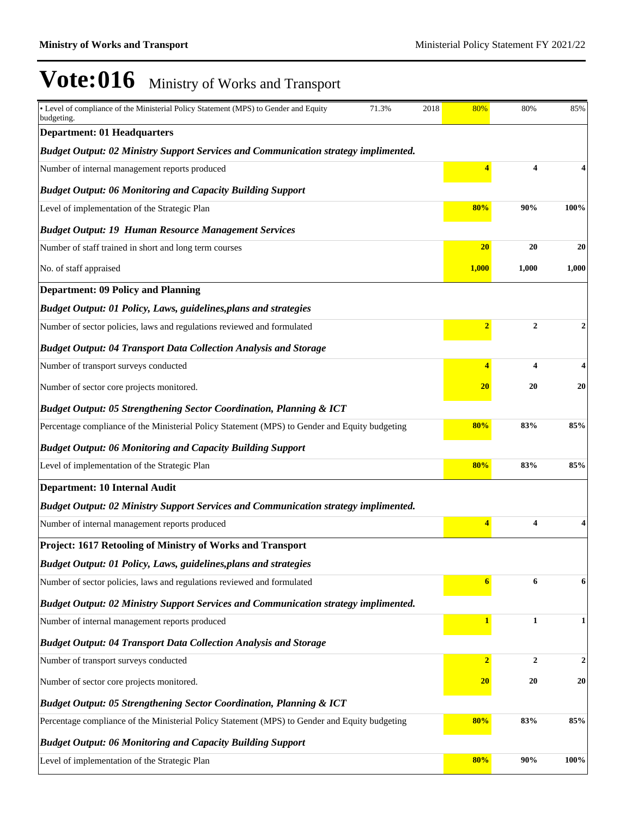| • Level of compliance of the Ministerial Policy Statement (MPS) to Gender and Equity<br>budgeting. | 71.3% | 2018 | 80%                     | 80%                     | 85%   |
|----------------------------------------------------------------------------------------------------|-------|------|-------------------------|-------------------------|-------|
| <b>Department: 01 Headquarters</b>                                                                 |       |      |                         |                         |       |
| <b>Budget Output: 02 Ministry Support Services and Communication strategy implimented.</b>         |       |      |                         |                         |       |
| Number of internal management reports produced                                                     |       |      | $\overline{\mathbf{4}}$ | $\overline{\mathbf{4}}$ |       |
| <b>Budget Output: 06 Monitoring and Capacity Building Support</b>                                  |       |      |                         |                         |       |
| Level of implementation of the Strategic Plan                                                      |       |      | 80%                     | 90%                     | 100%  |
| <b>Budget Output: 19 Human Resource Management Services</b>                                        |       |      |                         |                         |       |
| Number of staff trained in short and long term courses                                             |       |      | 20                      | 20                      | 20    |
| No. of staff appraised                                                                             |       |      | 1,000                   | 1,000                   | 1,000 |
| <b>Department: 09 Policy and Planning</b>                                                          |       |      |                         |                         |       |
| <b>Budget Output: 01 Policy, Laws, guidelines, plans and strategies</b>                            |       |      |                         |                         |       |
| Number of sector policies, laws and regulations reviewed and formulated                            |       |      | $\overline{2}$          | $\overline{2}$          | 2     |
| <b>Budget Output: 04 Transport Data Collection Analysis and Storage</b>                            |       |      |                         |                         |       |
| Number of transport surveys conducted                                                              |       |      | $\overline{4}$          | $\overline{\mathbf{4}}$ | 4     |
| Number of sector core projects monitored.                                                          |       |      | 20                      | 20                      | 20    |
| <b>Budget Output: 05 Strengthening Sector Coordination, Planning &amp; ICT</b>                     |       |      |                         |                         |       |
| Percentage compliance of the Ministerial Policy Statement (MPS) to Gender and Equity budgeting     |       |      | 80%                     | 83%                     | 85%   |
| <b>Budget Output: 06 Monitoring and Capacity Building Support</b>                                  |       |      |                         |                         |       |
| Level of implementation of the Strategic Plan                                                      |       |      | 80%                     | 83%                     | 85%   |
| Department: 10 Internal Audit                                                                      |       |      |                         |                         |       |
| <b>Budget Output: 02 Ministry Support Services and Communication strategy implimented.</b>         |       |      |                         |                         |       |
| Number of internal management reports produced                                                     |       |      | $\overline{4}$          | 4                       |       |
| Project: 1617 Retooling of Ministry of Works and Transport                                         |       |      |                         |                         |       |
| <b>Budget Output: 01 Policy, Laws, guidelines, plans and strategies</b>                            |       |      |                         |                         |       |
| Number of sector policies, laws and regulations reviewed and formulated                            |       |      | 6                       | 6                       | 6     |
| Budget Output: 02 Ministry Support Services and Communication strategy implimented.                |       |      |                         |                         |       |
| Number of internal management reports produced                                                     |       |      | 1                       | $\mathbf{1}$            | 1     |
| <b>Budget Output: 04 Transport Data Collection Analysis and Storage</b>                            |       |      |                         |                         |       |
| Number of transport surveys conducted                                                              |       |      | $\overline{2}$          | $\boldsymbol{2}$        | 2     |
| Number of sector core projects monitored.                                                          |       | 20   | 20                      | 20                      |       |
| <b>Budget Output: 05 Strengthening Sector Coordination, Planning &amp; ICT</b>                     |       |      |                         |                         |       |
| Percentage compliance of the Ministerial Policy Statement (MPS) to Gender and Equity budgeting     |       |      | 80%                     | 83%                     | 85%   |
| <b>Budget Output: 06 Monitoring and Capacity Building Support</b>                                  |       |      |                         |                         |       |
| Level of implementation of the Strategic Plan                                                      |       |      | 80%                     | 90%                     | 100%  |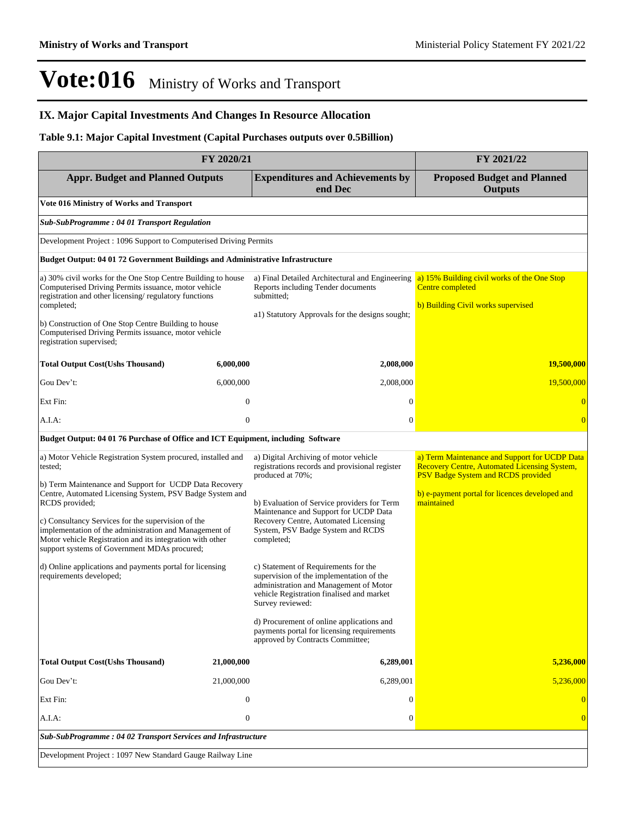### **IX. Major Capital Investments And Changes In Resource Allocation**

### **Table 9.1: Major Capital Investment (Capital Purchases outputs over 0.5Billion)**

| FY 2020/21                                                                                                                                                                                                                                                                                                                                                        |                  |                                                                                                                                                                                             | FY 2021/22                                                                                                                                 |
|-------------------------------------------------------------------------------------------------------------------------------------------------------------------------------------------------------------------------------------------------------------------------------------------------------------------------------------------------------------------|------------------|---------------------------------------------------------------------------------------------------------------------------------------------------------------------------------------------|--------------------------------------------------------------------------------------------------------------------------------------------|
| <b>Appr. Budget and Planned Outputs</b>                                                                                                                                                                                                                                                                                                                           |                  | <b>Expenditures and Achievements by</b><br>end Dec                                                                                                                                          | <b>Proposed Budget and Planned</b><br><b>Outputs</b>                                                                                       |
| Vote 016 Ministry of Works and Transport                                                                                                                                                                                                                                                                                                                          |                  |                                                                                                                                                                                             |                                                                                                                                            |
| <b>Sub-SubProgramme: 04 01 Transport Regulation</b>                                                                                                                                                                                                                                                                                                               |                  |                                                                                                                                                                                             |                                                                                                                                            |
| Development Project: 1096 Support to Computerised Driving Permits                                                                                                                                                                                                                                                                                                 |                  |                                                                                                                                                                                             |                                                                                                                                            |
| <b>Budget Output: 04 01 72 Government Buildings and Administrative Infrastructure</b>                                                                                                                                                                                                                                                                             |                  |                                                                                                                                                                                             |                                                                                                                                            |
| a) 30% civil works for the One Stop Centre Building to house<br>Computerised Driving Permits issuance, motor vehicle<br>registration and other licensing/regulatory functions<br>completed;<br>b) Construction of One Stop Centre Building to house<br>Computerised Driving Permits issuance, motor vehicle<br>registration supervised;                           |                  | a) Final Detailed Architectural and Engineering<br>Reports including Tender documents<br>submitted:                                                                                         | a) 15% Building civil works of the One Stop<br>Centre completed<br>b) Building Civil works supervised                                      |
|                                                                                                                                                                                                                                                                                                                                                                   |                  | al) Statutory Approvals for the designs sought;                                                                                                                                             |                                                                                                                                            |
| <b>Total Output Cost(Ushs Thousand)</b>                                                                                                                                                                                                                                                                                                                           | 6,000,000        | 2,008,000                                                                                                                                                                                   | <b>19,500,000</b>                                                                                                                          |
| Gou Dev't:                                                                                                                                                                                                                                                                                                                                                        | 6,000,000        | 2,008,000                                                                                                                                                                                   | 19,500,000                                                                                                                                 |
| Ext Fin:                                                                                                                                                                                                                                                                                                                                                          | $\boldsymbol{0}$ | $\mathbf{0}$                                                                                                                                                                                | $\overline{0}$                                                                                                                             |
| A.I.A:                                                                                                                                                                                                                                                                                                                                                            | $\overline{0}$   | $\mathbf{0}$                                                                                                                                                                                | $\overline{0}$                                                                                                                             |
| Budget Output: 04 01 76 Purchase of Office and ICT Equipment, including Software                                                                                                                                                                                                                                                                                  |                  |                                                                                                                                                                                             |                                                                                                                                            |
| a) Motor Vehicle Registration System procured, installed and<br>tested;                                                                                                                                                                                                                                                                                           |                  | a) Digital Archiving of motor vehicle<br>registrations records and provisional register<br>produced at 70%;                                                                                 | a) Term Maintenance and Support for UCDP Data<br><b>Recovery Centre, Automated Licensing System,</b><br>PSV Badge System and RCDS provided |
| b) Term Maintenance and Support for UCDP Data Recovery<br>Centre, Automated Licensing System, PSV Badge System and<br>RCDS provided;<br>c) Consultancy Services for the supervision of the<br>implementation of the administration and Management of<br>Motor vehicle Registration and its integration with other<br>support systems of Government MDAs procured; |                  | b) Evaluation of Service providers for Term<br>Maintenance and Support for UCDP Data<br>Recovery Centre, Automated Licensing<br>System, PSV Badge System and RCDS<br>completed;             | b) e-payment portal for licences developed and<br>maintained                                                                               |
| d) Online applications and payments portal for licensing<br>requirements developed;                                                                                                                                                                                                                                                                               |                  | c) Statement of Requirements for the<br>supervision of the implementation of the<br>administration and Management of Motor<br>vehicle Registration finalised and market<br>Survey reviewed: |                                                                                                                                            |
|                                                                                                                                                                                                                                                                                                                                                                   |                  | d) Procurement of online applications and<br>payments portal for licensing requirements<br>approved by Contracts Committee;                                                                 |                                                                                                                                            |
| <b>Total Output Cost(Ushs Thousand)</b>                                                                                                                                                                                                                                                                                                                           | 21,000,000       | 6,289,001                                                                                                                                                                                   | 5,236,000                                                                                                                                  |
| Gou Dev't:                                                                                                                                                                                                                                                                                                                                                        | 21,000,000       | 6,289,001                                                                                                                                                                                   | 5,236,000                                                                                                                                  |
| Ext Fin:                                                                                                                                                                                                                                                                                                                                                          | $\overline{0}$   | $\theta$                                                                                                                                                                                    |                                                                                                                                            |
| A.I.A:                                                                                                                                                                                                                                                                                                                                                            | $\boldsymbol{0}$ | $\mathbf{0}$                                                                                                                                                                                | $\overline{0}$                                                                                                                             |
| Sub-SubProgramme: 04 02 Transport Services and Infrastructure                                                                                                                                                                                                                                                                                                     |                  |                                                                                                                                                                                             |                                                                                                                                            |
| Development Project: 1097 New Standard Gauge Railway Line                                                                                                                                                                                                                                                                                                         |                  |                                                                                                                                                                                             |                                                                                                                                            |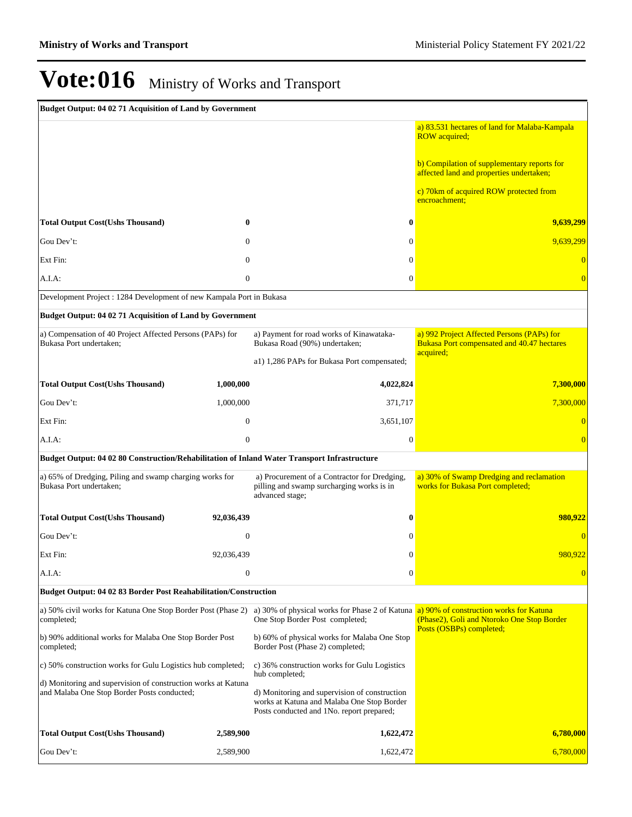| Budget Output: 04 02 71 Acquisition of Land by Government                                                    |                  |                                                                                                                                          |                                                                                                       |
|--------------------------------------------------------------------------------------------------------------|------------------|------------------------------------------------------------------------------------------------------------------------------------------|-------------------------------------------------------------------------------------------------------|
|                                                                                                              |                  |                                                                                                                                          | a) 83.531 hectares of land for Malaba-Kampala<br><b>ROW</b> acquired;                                 |
|                                                                                                              |                  |                                                                                                                                          | b) Compilation of supplementary reports for<br>affected land and properties undertaken;               |
|                                                                                                              |                  |                                                                                                                                          | c) 70km of acquired ROW protected from<br>encroachment:                                               |
| <b>Total Output Cost(Ushs Thousand)</b>                                                                      | 0                | $\bf{0}$                                                                                                                                 | 9,639,299                                                                                             |
| Gou Dev't:                                                                                                   | $\Omega$         | $\overline{0}$                                                                                                                           | 9,639,299                                                                                             |
| Ext Fin:                                                                                                     | $\Omega$         | $\Omega$                                                                                                                                 |                                                                                                       |
| $A.I.A$ :                                                                                                    | $\mathbf{0}$     | $\overline{0}$                                                                                                                           |                                                                                                       |
| Development Project : 1284 Development of new Kampala Port in Bukasa                                         |                  |                                                                                                                                          |                                                                                                       |
| Budget Output: 04 02 71 Acquisition of Land by Government                                                    |                  |                                                                                                                                          |                                                                                                       |
| a) Compensation of 40 Project Affected Persons (PAPs) for<br>Bukasa Port undertaken:                         |                  | a) Payment for road works of Kinawataka-<br>Bukasa Road (90%) undertaken;                                                                | a) 992 Project Affected Persons (PAPs) for<br>Bukasa Port compensated and 40.47 hectares<br>acquired; |
|                                                                                                              |                  | a1) 1,286 PAPs for Bukasa Port compensated;                                                                                              |                                                                                                       |
| <b>Total Output Cost(Ushs Thousand)</b>                                                                      | 1,000,000        | 4,022,824                                                                                                                                | 7,300,000                                                                                             |
| Gou Dev't:                                                                                                   | 1,000,000        | 371,717                                                                                                                                  | 7,300,000                                                                                             |
| Ext Fin:                                                                                                     | $\mathbf{0}$     | 3,651,107                                                                                                                                |                                                                                                       |
| A.I.A:                                                                                                       | $\mathbf{0}$     | $\mathbf{0}$                                                                                                                             | $\overline{0}$                                                                                        |
| Budget Output: 04 02 80 Construction/Rehabilitation of Inland Water Transport Infrastructure                 |                  |                                                                                                                                          |                                                                                                       |
| a) 65% of Dredging, Piling and swamp charging works for<br>Bukasa Port undertaken;                           |                  | a) Procurement of a Contractor for Dredging,<br>pilling and swamp surcharging works is in<br>advanced stage;                             | a) 30% of Swamp Dredging and reclamation<br>works for Bukasa Port completed;                          |
| <b>Total Output Cost(Ushs Thousand)</b>                                                                      | 92,036,439       | $\bf{0}$                                                                                                                                 | 980.922                                                                                               |
| Gou Dev't:                                                                                                   | $\mathbf{0}$     | $\mathbf{0}$                                                                                                                             |                                                                                                       |
| Ext Fin:                                                                                                     | 92,036,439       | $\mathbf{0}$                                                                                                                             | 980,922                                                                                               |
| A.I.A:                                                                                                       | $\boldsymbol{0}$ | $\mathbf{0}$                                                                                                                             | $\overline{0}$                                                                                        |
| Budget Output: 04 02 83 Border Post Reahabilitation/Construction                                             |                  |                                                                                                                                          |                                                                                                       |
| a) 50% civil works for Katuna One Stop Border Post (Phase 2)<br>completed;                                   |                  | a) 30% of physical works for Phase 2 of Katuna a) 90% of construction works for Katuna<br>One Stop Border Post completed;                | (Phase2), Goli and Ntoroko One Stop Border                                                            |
| b) 90% additional works for Malaba One Stop Border Post<br>completed;                                        |                  | b) 60% of physical works for Malaba One Stop<br>Border Post (Phase 2) completed;                                                         | Posts (OSBPs) completed;                                                                              |
| c) 50% construction works for Gulu Logistics hub completed;                                                  |                  | c) 36% construction works for Gulu Logistics<br>hub completed;                                                                           |                                                                                                       |
| d) Monitoring and supervision of construction works at Katuna<br>and Malaba One Stop Border Posts conducted; |                  | d) Monitoring and supervision of construction<br>works at Katuna and Malaba One Stop Border<br>Posts conducted and 1No. report prepared; |                                                                                                       |
| <b>Total Output Cost(Ushs Thousand)</b>                                                                      | 2,589,900        | 1,622,472                                                                                                                                | 6,780,000                                                                                             |
| Gou Dev't:                                                                                                   | 2,589,900        | 1,622,472                                                                                                                                | 6,780,000                                                                                             |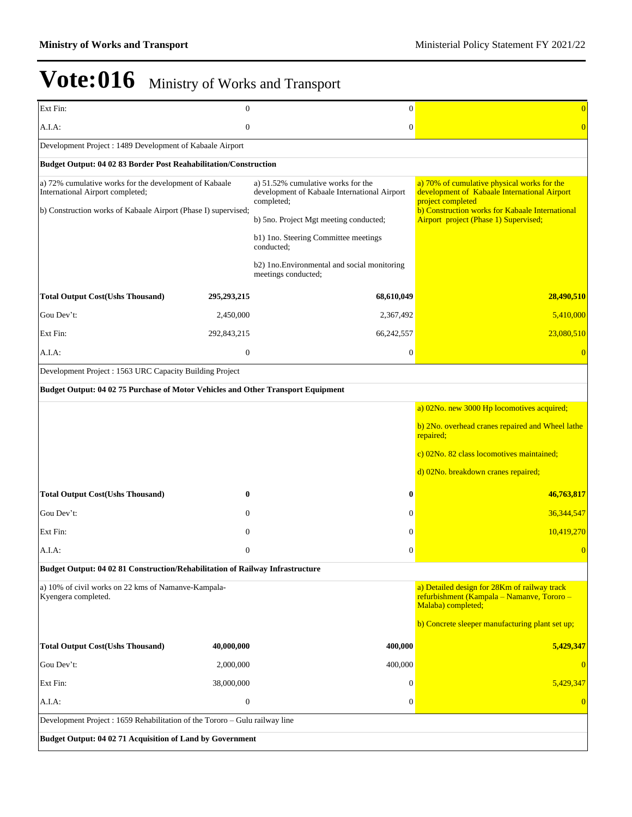| Ext Fin:                                                                                   | $\mathbf{0}$     | $\mathbf{0}$                                                                                     | $\overline{0}$                                                                                                   |
|--------------------------------------------------------------------------------------------|------------------|--------------------------------------------------------------------------------------------------|------------------------------------------------------------------------------------------------------------------|
| A.I.A:                                                                                     | $\boldsymbol{0}$ | $\mathbf{0}$                                                                                     | $\overline{0}$                                                                                                   |
| Development Project: 1489 Development of Kabaale Airport                                   |                  |                                                                                                  |                                                                                                                  |
| Budget Output: 04 02 83 Border Post Reahabilitation/Construction                           |                  |                                                                                                  |                                                                                                                  |
| a) 72% cumulative works for the development of Kabaale<br>International Airport completed; |                  | a) 51.52% cumulative works for the<br>development of Kabaale International Airport<br>completed; | a) 70% of cumulative physical works for the<br>development of Kabaale International Airport<br>project completed |
| b) Construction works of Kabaale Airport (Phase I) supervised;                             |                  | b) 5no. Project Mgt meeting conducted;                                                           | b) Construction works for Kabaale International<br>Airport project (Phase 1) Supervised;                         |
|                                                                                            |                  | b1) Ino. Steering Committee meetings<br>conducted;                                               |                                                                                                                  |
|                                                                                            |                  | b2) 1no. Environmental and social monitoring<br>meetings conducted;                              |                                                                                                                  |
| <b>Total Output Cost(Ushs Thousand)</b>                                                    | 295,293,215      | 68,610,049                                                                                       | 28,490,510                                                                                                       |
| Gou Dev't:                                                                                 | 2,450,000        | 2,367,492                                                                                        | 5,410,000                                                                                                        |
| Ext Fin:                                                                                   | 292,843,215      | 66,242,557                                                                                       | 23,080,510                                                                                                       |
| A.I.A:                                                                                     | $\mathbf{0}$     | $\mathbf{0}$                                                                                     |                                                                                                                  |
| Development Project : 1563 URC Capacity Building Project                                   |                  |                                                                                                  |                                                                                                                  |
| Budget Output: 04 02 75 Purchase of Motor Vehicles and Other Transport Equipment           |                  |                                                                                                  |                                                                                                                  |
|                                                                                            |                  |                                                                                                  | a) 02No. new 3000 Hp locomotives acquired;                                                                       |
|                                                                                            |                  |                                                                                                  | b) 2No. overhead cranes repaired and Wheel lathe<br>repaired;                                                    |
|                                                                                            |                  |                                                                                                  | c) 02No. 82 class locomotives maintained;                                                                        |
|                                                                                            |                  |                                                                                                  | d) 02No. breakdown cranes repaired;                                                                              |
| <b>Total Output Cost(Ushs Thousand)</b>                                                    | $\bf{0}$         | 0                                                                                                | 46,763,817                                                                                                       |
| Gou Dev't:                                                                                 | $\mathbf{0}$     | $\mathbf{0}$                                                                                     | 36,344,547                                                                                                       |
| Ext Fin:                                                                                   | $\mathbf{0}$     | $\theta$                                                                                         | 10,419,270                                                                                                       |
| A.I.A.                                                                                     | $\mathbf{0}$     | $\overline{0}$                                                                                   | $\theta$                                                                                                         |
| Budget Output: 04 02 81 Construction/Rehabilitation of Railway Infrastructure              |                  |                                                                                                  |                                                                                                                  |
| a) 10% of civil works on 22 kms of Namanve-Kampala-<br>Kyengera completed.                 |                  |                                                                                                  | a) Detailed design for 28Km of railway track<br>refurbishment (Kampala - Namanve, Tororo -<br>Malaba) completed; |
|                                                                                            |                  |                                                                                                  | b) Concrete sleeper manufacturing plant set up;                                                                  |
| <b>Total Output Cost(Ushs Thousand)</b>                                                    | 40,000,000       | 400,000                                                                                          | 5,429,347                                                                                                        |
| Gou Dev't:                                                                                 | 2,000,000        | 400,000                                                                                          | $\overline{0}$                                                                                                   |
| Ext Fin:                                                                                   | 38,000,000       | $\theta$                                                                                         | 5,429,347                                                                                                        |
| A.I.A:                                                                                     | $\boldsymbol{0}$ | $\boldsymbol{0}$                                                                                 | $\overline{0}$                                                                                                   |
| Development Project : 1659 Rehabilitation of the Tororo - Gulu railway line                |                  |                                                                                                  |                                                                                                                  |
| Budget Output: 04 02 71 Acquisition of Land by Government                                  |                  |                                                                                                  |                                                                                                                  |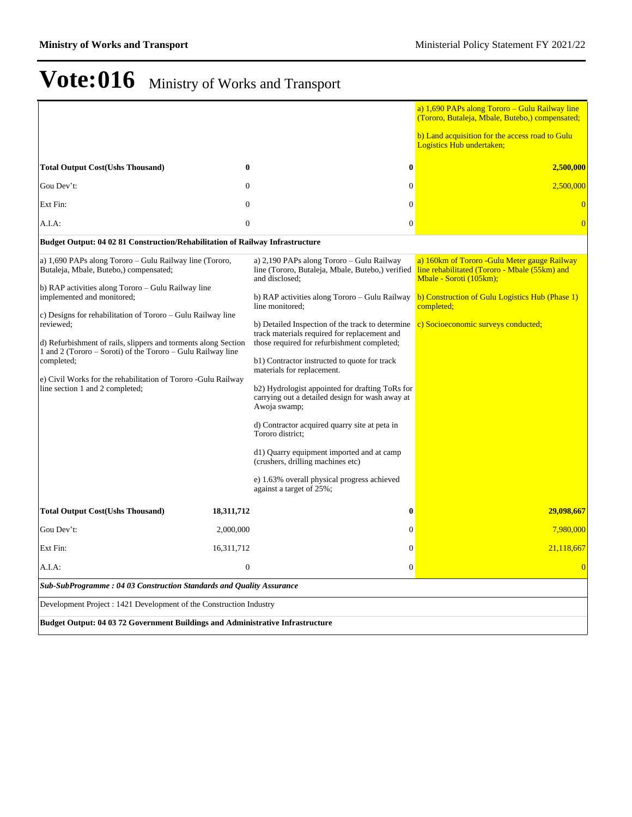|                                                                                                                                                                                                                                                                                                                             |              |                                                                                                                                                                                                                                                                                                                                                                                                                                                                                                                                                                                       | a) 1,690 PAPs along Tororo - Gulu Railway line<br>(Tororo, Butaleja, Mbale, Butebo,) compensated;                         |  |
|-----------------------------------------------------------------------------------------------------------------------------------------------------------------------------------------------------------------------------------------------------------------------------------------------------------------------------|--------------|---------------------------------------------------------------------------------------------------------------------------------------------------------------------------------------------------------------------------------------------------------------------------------------------------------------------------------------------------------------------------------------------------------------------------------------------------------------------------------------------------------------------------------------------------------------------------------------|---------------------------------------------------------------------------------------------------------------------------|--|
|                                                                                                                                                                                                                                                                                                                             |              |                                                                                                                                                                                                                                                                                                                                                                                                                                                                                                                                                                                       | b) Land acquisition for the access road to Gulu<br>Logistics Hub undertaken;                                              |  |
| <b>Total Output Cost(Ushs Thousand)</b>                                                                                                                                                                                                                                                                                     | $\bf{0}$     | $\bf{0}$                                                                                                                                                                                                                                                                                                                                                                                                                                                                                                                                                                              | 2,500,000                                                                                                                 |  |
| Gou Dev't:                                                                                                                                                                                                                                                                                                                  | $\Omega$     | $\mathbf{0}$                                                                                                                                                                                                                                                                                                                                                                                                                                                                                                                                                                          | 2,500,000                                                                                                                 |  |
| Ext Fin:                                                                                                                                                                                                                                                                                                                    | $\Omega$     | $\theta$                                                                                                                                                                                                                                                                                                                                                                                                                                                                                                                                                                              |                                                                                                                           |  |
| A.I.A:                                                                                                                                                                                                                                                                                                                      | $\theta$     | $\Omega$                                                                                                                                                                                                                                                                                                                                                                                                                                                                                                                                                                              |                                                                                                                           |  |
| <b>Budget Output: 04 02 81 Construction/Rehabilitation of Railway Infrastructure</b>                                                                                                                                                                                                                                        |              |                                                                                                                                                                                                                                                                                                                                                                                                                                                                                                                                                                                       |                                                                                                                           |  |
| a) 1,690 PAPs along Tororo – Gulu Railway line (Tororo,<br>Butaleja, Mbale, Butebo,) compensated;                                                                                                                                                                                                                           |              | a) 2,190 PAPs along Tororo – Gulu Railway<br>line (Tororo, Butaleja, Mbale, Butebo,) verified<br>and disclosed:                                                                                                                                                                                                                                                                                                                                                                                                                                                                       | a) 160km of Tororo - Gulu Meter gauge Railway<br>line rehabilitated (Tororo - Mbale (55km) and<br>Mbale - Soroti (105km); |  |
| b) RAP activities along Tororo – Gulu Railway line<br>implemented and monitored;                                                                                                                                                                                                                                            |              | b) RAP activities along Tororo - Gulu Railway<br>line monitored:                                                                                                                                                                                                                                                                                                                                                                                                                                                                                                                      | b) Construction of Gulu Logistics Hub (Phase 1)<br>completed;                                                             |  |
| c) Designs for rehabilitation of Tororo – Gulu Railway line<br>reviewed:<br>d) Refurbishment of rails, slippers and torments along Section<br>1 and 2 (Tororo – Soroti) of the Tororo – Gulu Railway line<br>completed;<br>e) Civil Works for the rehabilitation of Tororo -Gulu Railway<br>line section 1 and 2 completed; |              | b) Detailed Inspection of the track to determine<br>track materials required for replacement and<br>those required for refurbishment completed;<br>b1) Contractor instructed to quote for track<br>materials for replacement.<br>b2) Hydrologist appointed for drafting ToRs for<br>carrying out a detailed design for wash away at<br>Awoja swamp;<br>d) Contractor acquired quarry site at peta in<br>Tororo district:<br>d1) Quarry equipment imported and at camp<br>(crushers, drilling machines etc)<br>e) 1.63% overall physical progress achieved<br>against a target of 25%; | c) Socioeconomic surveys conducted;                                                                                       |  |
| <b>Total Output Cost(Ushs Thousand)</b>                                                                                                                                                                                                                                                                                     | 18,311,712   | $\bf{0}$                                                                                                                                                                                                                                                                                                                                                                                                                                                                                                                                                                              | 29,098,667                                                                                                                |  |
| Gou Dev't:                                                                                                                                                                                                                                                                                                                  | 2,000,000    | $\overline{0}$                                                                                                                                                                                                                                                                                                                                                                                                                                                                                                                                                                        | 7,980,000                                                                                                                 |  |
| Ext Fin:                                                                                                                                                                                                                                                                                                                    | 16,311,712   | $\overline{0}$                                                                                                                                                                                                                                                                                                                                                                                                                                                                                                                                                                        | 21,118,667                                                                                                                |  |
| A.I.A.                                                                                                                                                                                                                                                                                                                      | $\mathbf{0}$ | $\theta$                                                                                                                                                                                                                                                                                                                                                                                                                                                                                                                                                                              | $\Omega$                                                                                                                  |  |
| Sub-SubProgramme: 04 03 Construction Standards and Quality Assurance                                                                                                                                                                                                                                                        |              |                                                                                                                                                                                                                                                                                                                                                                                                                                                                                                                                                                                       |                                                                                                                           |  |
| Development Project : 1421 Development of the Construction Industry                                                                                                                                                                                                                                                         |              |                                                                                                                                                                                                                                                                                                                                                                                                                                                                                                                                                                                       |                                                                                                                           |  |
| <b>Budget Output: 04 03 72 Government Buildings and Administrative Infrastructure</b>                                                                                                                                                                                                                                       |              |                                                                                                                                                                                                                                                                                                                                                                                                                                                                                                                                                                                       |                                                                                                                           |  |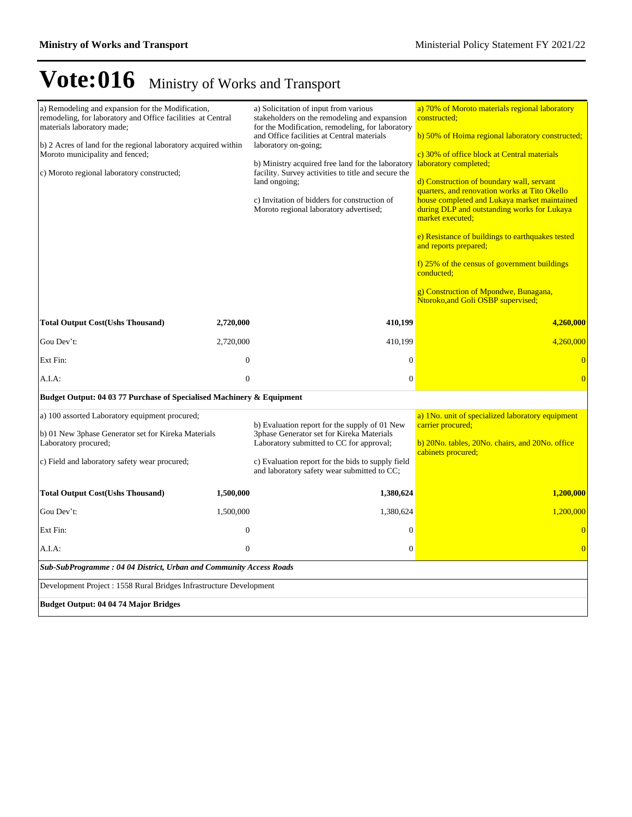| a) Remodeling and expansion for the Modification,<br>remodeling, for laboratory and Office facilities at Central<br>materials laboratory made;<br>b) 2 Acres of land for the regional laboratory acquired within<br>Moroto municipality and fenced;<br>c) Moroto regional laboratory constructed; |                  | a) Solicitation of input from various<br>stakeholders on the remodeling and expansion<br>for the Modification, remodeling, for laboratory<br>and Office facilities at Central materials<br>laboratory on-going;<br>b) Ministry acquired free land for the laboratory<br>facility. Survey activities to title and secure the<br>land ongoing;<br>c) Invitation of bidders for construction of<br>Moroto regional laboratory advertised; | a) 70% of Moroto materials regional laboratory<br>constructed:<br>b) 50% of Hoima regional laboratory constructed;<br>c) 30% of office block at Central materials<br>laboratory completed;<br>d) Construction of boundary wall, servant<br>quarters, and renovation works at Tito Okello<br>house completed and Lukaya market maintained<br>during DLP and outstanding works for Lukaya<br>market executed;<br>e) Resistance of buildings to earthquakes tested<br>and reports prepared;<br>f) 25% of the census of government buildings<br>conducted;<br>g) Construction of Mpondwe, Bunagana,<br>Ntoroko, and Goli OSBP supervised; |  |  |
|---------------------------------------------------------------------------------------------------------------------------------------------------------------------------------------------------------------------------------------------------------------------------------------------------|------------------|----------------------------------------------------------------------------------------------------------------------------------------------------------------------------------------------------------------------------------------------------------------------------------------------------------------------------------------------------------------------------------------------------------------------------------------|---------------------------------------------------------------------------------------------------------------------------------------------------------------------------------------------------------------------------------------------------------------------------------------------------------------------------------------------------------------------------------------------------------------------------------------------------------------------------------------------------------------------------------------------------------------------------------------------------------------------------------------|--|--|
| <b>Total Output Cost(Ushs Thousand)</b>                                                                                                                                                                                                                                                           | 2,720,000        | 410,199                                                                                                                                                                                                                                                                                                                                                                                                                                | 4,260,000                                                                                                                                                                                                                                                                                                                                                                                                                                                                                                                                                                                                                             |  |  |
| Gou Dev't:                                                                                                                                                                                                                                                                                        | 2,720,000        | 410,199                                                                                                                                                                                                                                                                                                                                                                                                                                | 4,260,000                                                                                                                                                                                                                                                                                                                                                                                                                                                                                                                                                                                                                             |  |  |
| Ext Fin:                                                                                                                                                                                                                                                                                          | $\overline{0}$   | $\mathbf{0}$                                                                                                                                                                                                                                                                                                                                                                                                                           |                                                                                                                                                                                                                                                                                                                                                                                                                                                                                                                                                                                                                                       |  |  |
| A.I.A:                                                                                                                                                                                                                                                                                            | $\boldsymbol{0}$ | $\overline{0}$                                                                                                                                                                                                                                                                                                                                                                                                                         |                                                                                                                                                                                                                                                                                                                                                                                                                                                                                                                                                                                                                                       |  |  |
| Budget Output: 04 03 77 Purchase of Specialised Machinery & Equipment                                                                                                                                                                                                                             |                  |                                                                                                                                                                                                                                                                                                                                                                                                                                        |                                                                                                                                                                                                                                                                                                                                                                                                                                                                                                                                                                                                                                       |  |  |
| a) 100 assorted Laboratory equipment procured;<br>b) 01 New 3phase Generator set for Kireka Materials<br>Laboratory procured;<br>c) Field and laboratory safety wear procured;                                                                                                                    |                  | b) Evaluation report for the supply of 01 New<br>3phase Generator set for Kireka Materials<br>Laboratory submitted to CC for approval;<br>c) Evaluation report for the bids to supply field<br>and laboratory safety wear submitted to CC;                                                                                                                                                                                             | a) 1No. unit of specialized laboratory equipment<br>carrier procured;<br>b) 20No. tables, 20No. chairs, and 20No. office<br>cabinets procured;                                                                                                                                                                                                                                                                                                                                                                                                                                                                                        |  |  |
| <b>Total Output Cost(Ushs Thousand)</b>                                                                                                                                                                                                                                                           | 1,500,000        | 1,380,624                                                                                                                                                                                                                                                                                                                                                                                                                              | 1,200,000                                                                                                                                                                                                                                                                                                                                                                                                                                                                                                                                                                                                                             |  |  |
| Gou Dev't:                                                                                                                                                                                                                                                                                        | 1,500,000        | 1,380,624                                                                                                                                                                                                                                                                                                                                                                                                                              | 1,200,000                                                                                                                                                                                                                                                                                                                                                                                                                                                                                                                                                                                                                             |  |  |
| Ext Fin:                                                                                                                                                                                                                                                                                          | $\theta$         | $\mathbf{0}$                                                                                                                                                                                                                                                                                                                                                                                                                           |                                                                                                                                                                                                                                                                                                                                                                                                                                                                                                                                                                                                                                       |  |  |
| A.I.A:                                                                                                                                                                                                                                                                                            | $\boldsymbol{0}$ | $\mathbf{0}$                                                                                                                                                                                                                                                                                                                                                                                                                           | $\Omega$                                                                                                                                                                                                                                                                                                                                                                                                                                                                                                                                                                                                                              |  |  |
| Sub-SubProgramme: 04 04 District, Urban and Community Access Roads                                                                                                                                                                                                                                |                  |                                                                                                                                                                                                                                                                                                                                                                                                                                        |                                                                                                                                                                                                                                                                                                                                                                                                                                                                                                                                                                                                                                       |  |  |
| Development Project : 1558 Rural Bridges Infrastructure Development                                                                                                                                                                                                                               |                  |                                                                                                                                                                                                                                                                                                                                                                                                                                        |                                                                                                                                                                                                                                                                                                                                                                                                                                                                                                                                                                                                                                       |  |  |
| <b>Budget Output: 04 04 74 Major Bridges</b>                                                                                                                                                                                                                                                      |                  |                                                                                                                                                                                                                                                                                                                                                                                                                                        |                                                                                                                                                                                                                                                                                                                                                                                                                                                                                                                                                                                                                                       |  |  |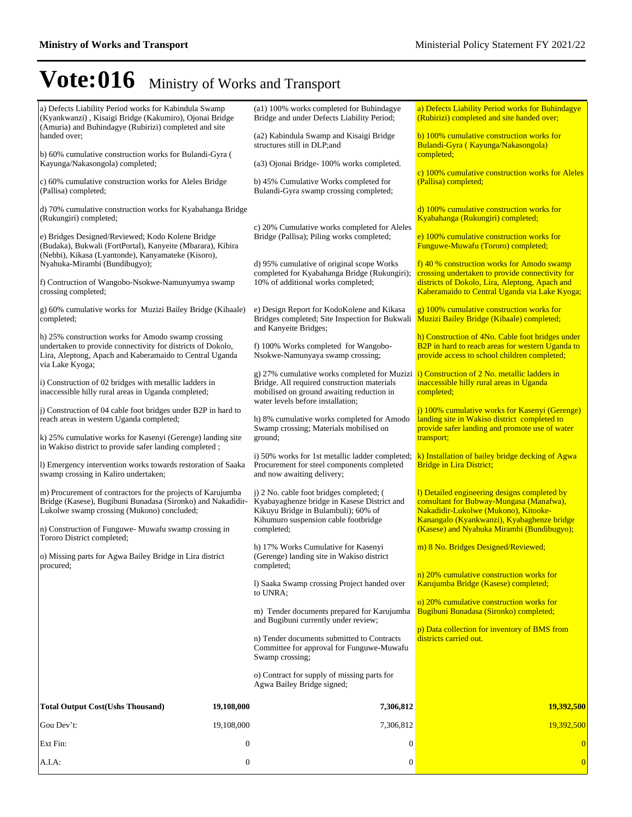| a) Defects Liability Period works for Kabindula Swamp<br>(Kyankwanzi), Kisaigi Bridge (Kakumiro), Ojonai Bridge                                                                                 |                  | (a1) 100% works completed for Buhindagye<br>Bridge and under Defects Liability Period;                                                                                                                                     | a) Defects Liability Period works for Buhindagye<br>(Rubirizi) completed and site handed over;                                                                                 |
|-------------------------------------------------------------------------------------------------------------------------------------------------------------------------------------------------|------------------|----------------------------------------------------------------------------------------------------------------------------------------------------------------------------------------------------------------------------|--------------------------------------------------------------------------------------------------------------------------------------------------------------------------------|
| (Amuria) and Buhindagye (Rubirizi) completed and site<br>handed over;                                                                                                                           |                  | (a2) Kabindula Swamp and Kisaigi Bridge<br>structures still in DLP; and                                                                                                                                                    | b) 100% cumulative construction works for<br>Bulandi-Gyra (Kayunga/Nakasongola)                                                                                                |
| b) 60% cumulative construction works for Bulandi-Gyra (<br>Kayunga/Nakasongola) completed;                                                                                                      |                  | (a3) Ojonai Bridge-100% works completed.                                                                                                                                                                                   | completed;                                                                                                                                                                     |
| c) 60% cumulative construction works for Aleles Bridge<br>(Pallisa) completed;                                                                                                                  |                  | b) 45% Cumulative Works completed for<br>Bulandi-Gyra swamp crossing completed;                                                                                                                                            | c) 100% cumulative construction works for Aleles<br>(Pallisa) completed;                                                                                                       |
| d) 70% cumulative construction works for Kyabahanga Bridge<br>(Rukungiri) completed;                                                                                                            |                  |                                                                                                                                                                                                                            | d) 100% cumulative construction works for<br>Kyabahanga (Rukungiri) completed;                                                                                                 |
| e) Bridges Designed/Reviewed; Kodo Kolene Bridge<br>(Budaka), Bukwali (FortPortal), Kanyeite (Mbarara), Kibira<br>(Nebbi), Kikasa (Lyantonde), Kanyamateke (Kisoro),                            |                  | c) 20% Cumulative works completed for Aleles<br>Bridge (Pallisa); Piling works completed;                                                                                                                                  | e) 100% cumulative construction works for<br>Funguwe-Muwafu (Tororo) completed;                                                                                                |
| Nyahuka-Mirambi (Bundibugyo);                                                                                                                                                                   |                  | d) 95% cumulative of original scope Works<br>completed for Kyabahanga Bridge (Rukungiri);                                                                                                                                  | f) 40 % construction works for Amodo swamp<br>crossing undertaken to provide connectivity for                                                                                  |
| f) Contruction of Wangobo-Nsokwe-Namunyumya swamp<br>crossing completed;                                                                                                                        |                  | 10% of additional works completed;                                                                                                                                                                                         | districts of Dokolo, Lira, Aleptong, Apach and<br>Kaberamaido to Central Uganda via Lake Kyoga;                                                                                |
| g) 60% cumulative works for Muzizi Bailey Bridge (Kibaale)<br>completed;                                                                                                                        |                  | e) Design Report for KodoKolene and Kikasa<br>Bridges completed; Site Inspection for Bukwali<br>and Kanyeite Bridges;                                                                                                      | $g$ ) 100% cumulative construction works for<br>Muzizi Bailey Bridge (Kibaale) completed;                                                                                      |
| h) 25% construction works for Amodo swamp crossing<br>undertaken to provide connectivity for districts of Dokolo,<br>Lira, Aleptong, Apach and Kaberamaido to Central Uganda<br>via Lake Kyoga; |                  | f) 100% Works completed for Wangobo-<br>Nsokwe-Namunyaya swamp crossing;                                                                                                                                                   | h) Construction of 4No. Cable foot bridges under<br>B2P in hard to reach areas for western Uganda to<br>provide access to school children completed;                           |
| i) Construction of 02 bridges with metallic ladders in<br>inaccessible hilly rural areas in Uganda completed;                                                                                   |                  | g) 27% cumulative works completed for Muzizi i) Construction of 2 No. metallic ladders in<br>Bridge. All required construction materials<br>mobilised on ground awaiting reduction in<br>water levels before installation; | inaccessible hilly rural areas in Uganda<br>completed;                                                                                                                         |
| (i) Construction of 04 cable foot bridges under B2P in hard to<br>reach areas in western Uganda completed;                                                                                      |                  | h) 8% cumulative works completed for Amodo                                                                                                                                                                                 | j) 100% cumulative works for Kasenyi (Gerenge)<br>landing site in Wakiso district completed to                                                                                 |
| k) 25% cumulative works for Kasenyi (Gerenge) landing site                                                                                                                                      |                  | Swamp crossing; Materials mobilised on<br>ground;                                                                                                                                                                          | provide safer landing and promote use of water<br>transport;                                                                                                                   |
| in Wakiso district to provide safer landing completed;                                                                                                                                          |                  | i) 50% works for 1st metallic ladder completed;                                                                                                                                                                            | k) Installation of bailey bridge decking of Agwa                                                                                                                               |
| 1) Emergency intervention works towards restoration of Saaka<br>swamp crossing in Kaliro undertaken;                                                                                            |                  | Procurement for steel components completed<br>and now awaiting delivery;                                                                                                                                                   | <b>Bridge in Lira District;</b>                                                                                                                                                |
| m) Procurement of contractors for the projects of Karujumba<br>Bridge (Kasese), Bugibuni Bunadasa (Sironko) and Nakadidir-<br>Lukolwe swamp crossing (Mukono) concluded;                        |                  | j) 2 No. cable foot bridges completed; (<br>Kyabayaghenze bridge in Kasese District and<br>Kikuyu Bridge in Bulambuli); 60% of<br>Kihumuro suspension cable footbridge                                                     | 1) Detailed engineering designs completed by<br>consultant for Bubway-Mungasa (Manafwa),<br>Nakadidir-Lukolwe (Mukono), Kitooke-<br>Kanangalo (Kyankwanzi), Kyabaghenze bridge |
| n) Construction of Funguwe- Muwafu swamp crossing in<br>Tororo District completed;                                                                                                              |                  | completed;                                                                                                                                                                                                                 | (Kasese) and Nyahuka Mirambi (Bundibugyo);                                                                                                                                     |
| o) Missing parts for Agwa Bailey Bridge in Lira district<br>procured;                                                                                                                           |                  | h) 17% Works Cumulative for Kasenyi<br>(Gerenge) landing site in Wakiso district<br>completed;                                                                                                                             | m) 8 No. Bridges Designed/Reviewed;                                                                                                                                            |
|                                                                                                                                                                                                 |                  | 1) Saaka Swamp crossing Project handed over<br>to UNRA;                                                                                                                                                                    | n) 20% cumulative construction works for<br>Karujumba Bridge (Kasese) completed;                                                                                               |
|                                                                                                                                                                                                 |                  | m) Tender documents prepared for Karujumba                                                                                                                                                                                 | o) 20% cumulative construction works for<br>Bugibuni Bunadasa (Sironko) completed;                                                                                             |
|                                                                                                                                                                                                 |                  | and Bugibuni currently under review;                                                                                                                                                                                       | p) Data collection for inventory of BMS from                                                                                                                                   |
|                                                                                                                                                                                                 |                  | n) Tender documents submitted to Contracts<br>Committee for approval for Funguwe-Muwafu<br>Swamp crossing;                                                                                                                 | districts carried out.                                                                                                                                                         |
|                                                                                                                                                                                                 |                  | o) Contract for supply of missing parts for<br>Agwa Bailey Bridge signed;                                                                                                                                                  |                                                                                                                                                                                |
| <b>Total Output Cost(Ushs Thousand)</b>                                                                                                                                                         | 19,108,000       | 7,306,812                                                                                                                                                                                                                  | <b>19,392,500</b>                                                                                                                                                              |
| Gou Dev't:                                                                                                                                                                                      | 19,108,000       | 7,306,812                                                                                                                                                                                                                  | 19,392,500                                                                                                                                                                     |
| Ext Fin:                                                                                                                                                                                        | $\boldsymbol{0}$ | $\mathbf{0}$                                                                                                                                                                                                               |                                                                                                                                                                                |
| A.I.A.                                                                                                                                                                                          | $\boldsymbol{0}$ | $\boldsymbol{0}$                                                                                                                                                                                                           | $\overline{0}$                                                                                                                                                                 |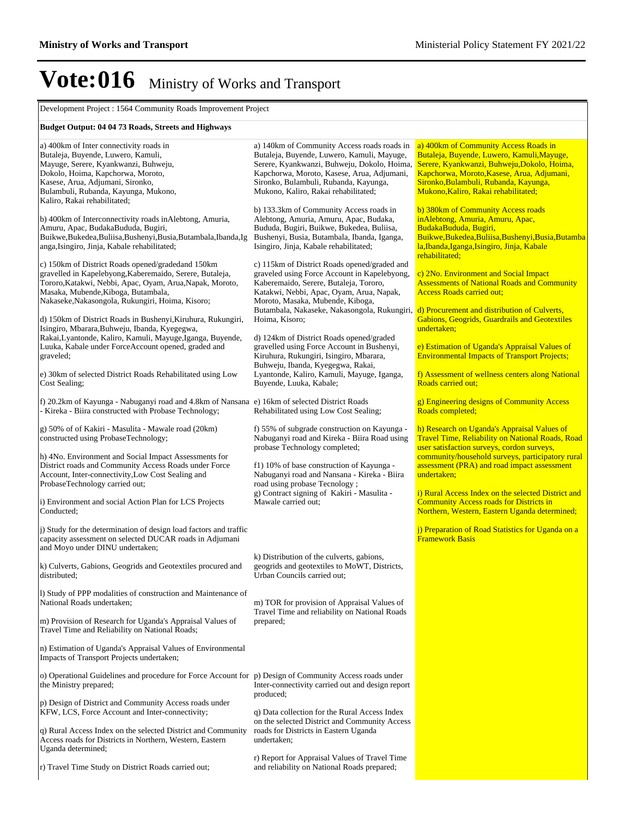Development Project : 1564 Community Roads Improvement Project

#### **Budget Output: 04 04 73 Roads, Streets and Highways**

| a) 400km of Inter connectivity roads in<br>Butaleja, Buyende, Luwero, Kamuli,<br>Mayuge, Serere, Kyankwanzi, Buhweju,<br>Dokolo, Hoima, Kapchorwa, Moroto,<br>Kasese, Arua, Adjumani, Sironko,<br>Bulambuli, Rubanda, Kayunga, Mukono,                               | a) 140km of Community Access roads roads in<br>Butaleja, Buyende, Luwero, Kamuli, Mayuge,<br>Serere, Kyankwanzi, Buhweju, Dokolo, Hoima,<br>Kapchorwa, Moroto, Kasese, Arua, Adjumani,<br>Sironko, Bulambuli, Rubanda, Kayunga,<br>Mukono, Kaliro, Rakai rehabilitated; | a) 400km of Community Access Roads in<br>Butaleja, Buyende, Luwero, Kamuli, Mayuge,<br>Serere, Kyankwanzi, Buhweju, Dokolo, Hoima,<br>Kapchorwa, Moroto, Kasese, Arua, Adjumani,<br>Sironko, Bulambuli, Rubanda, Kayunga,<br>Mukono, Kaliro, Rakai rehabilitated; |
|----------------------------------------------------------------------------------------------------------------------------------------------------------------------------------------------------------------------------------------------------------------------|-------------------------------------------------------------------------------------------------------------------------------------------------------------------------------------------------------------------------------------------------------------------------|-------------------------------------------------------------------------------------------------------------------------------------------------------------------------------------------------------------------------------------------------------------------|
| Kaliro, Rakai rehabilitated;<br>b) 400km of Interconnectivity roads in Alebtong, Amuria,<br>Amuru, Apac, BudakaBududa, Bugiri,<br>Buikwe, Bukedea, Buliisa, Bushenyi, Busia, Butambala, Ibanda, Ig<br>anga, Isingiro, Jinja, Kabale rehabilitated;                   | b) 133.3km of Community Access roads in<br>Alebtong, Amuria, Amuru, Apac, Budaka,<br>Bududa, Bugiri, Buikwe, Bukedea, Buliisa,<br>Bushenyi, Busia, Butambala, Ibanda, Iganga,<br>Isingiro, Jinja, Kabale rehabilitated;                                                 | b) 380km of Community Access roads<br>inAlebtong, Amuria, Amuru, Apac,<br>BudakaBududa, Bugiri,<br>Buikwe, Bukedea, Buliisa, Bushenyi, Busia, Butamba<br>la, Ibanda, Iganga, Isingiro, Jinja, Kabale<br>rehabilitated;                                            |
| c) 150km of District Roads opened/gradedand 150km<br>gravelled in Kapelebyong, Kaberemaido, Serere, Butaleja,<br>Tororo, Katakwi, Nebbi, Apac, Oyam, Arua, Napak, Moroto,<br>Masaka, Mubende, Kiboga, Butambala,<br>Nakaseke, Nakasongola, Rukungiri, Hoima, Kisoro; | c) 115km of District Roads opened/graded and<br>graveled using Force Account in Kapelebyong,<br>Kaberemaido, Serere, Butaleja, Tororo,<br>Katakwi, Nebbi, Apac, Oyam, Arua, Napak,<br>Moroto, Masaka, Mubende, Kiboga,                                                  | c) 2No. Environment and Social Impact<br><b>Assessments of National Roads and Community</b><br><b>Access Roads carried out;</b>                                                                                                                                   |
| d) 150km of District Roads in Bushenyi, Kiruhura, Rukungiri,<br>Isingiro, Mbarara, Buhweju, Ibanda, Kyegegwa,                                                                                                                                                        | Butambala, Nakaseke, Nakasongola, Rukungiri, d) Procurement and distribution of Culverts,<br>Hoima, Kisoro;                                                                                                                                                             | Gabions, Geogrids, Guardrails and Geotextiles<br>undertaken;                                                                                                                                                                                                      |
| Rakai, Lyantonde, Kaliro, Kamuli, Mayuge, Iganga, Buyende,<br>Luuka, Kabale under ForceAccount opened, graded and<br>graveled;                                                                                                                                       | d) 124km of District Roads opened/graded<br>gravelled using Force Account in Bushenyi,<br>Kiruhura, Rukungiri, Isingiro, Mbarara,<br>Buhweju, Ibanda, Kyegegwa, Rakai,                                                                                                  | e) Estimation of Uganda's Appraisal Values of<br><b>Environmental Impacts of Transport Projects;</b>                                                                                                                                                              |
| e) 30km of selected District Roads Rehabilitated using Low<br>Cost Sealing;                                                                                                                                                                                          | Lyantonde, Kaliro, Kamuli, Mayuge, Iganga,<br>Buyende, Luuka, Kabale;                                                                                                                                                                                                   | f) Assessment of wellness centers along National<br><b>Roads carried out:</b>                                                                                                                                                                                     |
| f) 20.2km of Kayunga - Nabuganyi road and 4.8km of Nansana e) 16km of selected District Roads<br>- Kireka - Biira constructed with Probase Technology;                                                                                                               | Rehabilitated using Low Cost Sealing;                                                                                                                                                                                                                                   | g) Engineering designs of Community Access<br>Roads completed;                                                                                                                                                                                                    |
| g) 50% of of Kakiri - Masulita - Mawale road (20km)<br>constructed using ProbaseTechnology;                                                                                                                                                                          | f) 55% of subgrade construction on Kayunga -<br>Nabuganyi road and Kireka - Biira Road using<br>probase Technology completed;                                                                                                                                           | h) Research on Uganda's Appraisal Values of<br><b>Travel Time, Reliability on National Roads, Road</b><br>user satisfaction surveys, cordon surveys,                                                                                                              |
| h) 4No. Environment and Social Impact Assessments for<br>District roads and Community Access Roads under Force<br>Account, Inter-connectivity, Low Cost Sealing and                                                                                                  | f1) 10% of base construction of Kayunga -<br>Nabuganyi road and Nansana - Kireka - Biira<br>road using probase Tecnology;                                                                                                                                               | community/household surveys, participatory rural<br>assessment (PRA) and road impact assessment<br>undertaken;                                                                                                                                                    |
| ProbaseTechnology carried out;<br>i) Environment and social Action Plan for LCS Projects<br>Conducted:                                                                                                                                                               | g) Contract signing of Kakiri - Masulita -<br>Mawale carried out;                                                                                                                                                                                                       | i) Rural Access Index on the selected District and<br><b>Community Access roads for Districts in</b><br>Northern, Western, Eastern Uganda determined;                                                                                                             |
| j) Study for the determination of design load factors and traffic<br>capacity assessment on selected DUCAR roads in Adjumani<br>and Moyo under DINU undertaken;                                                                                                      |                                                                                                                                                                                                                                                                         | j) Preparation of Road Statistics for Uganda on a<br><b>Framework Basis</b>                                                                                                                                                                                       |
| k) Culverts, Gabions, Geogrids and Geotextiles procured and<br>distributed;                                                                                                                                                                                          | k) Distribution of the culverts, gabions,<br>geogrids and geotextiles to MoWT, Districts,<br>Urban Councils carried out;                                                                                                                                                |                                                                                                                                                                                                                                                                   |
| 1) Study of PPP modalities of construction and Maintenance of<br>National Roads undertaken;                                                                                                                                                                          | m) TOR for provision of Appraisal Values of<br>Travel Time and reliability on National Roads                                                                                                                                                                            |                                                                                                                                                                                                                                                                   |
| m) Provision of Research for Uganda's Appraisal Values of<br>Travel Time and Reliability on National Roads;                                                                                                                                                          | prepared;                                                                                                                                                                                                                                                               |                                                                                                                                                                                                                                                                   |
| n) Estimation of Uganda's Appraisal Values of Environmental<br>Impacts of Transport Projects undertaken;                                                                                                                                                             |                                                                                                                                                                                                                                                                         |                                                                                                                                                                                                                                                                   |
| o) Operational Guidelines and procedure for Force Account for p) Design of Community Access roads under<br>the Ministry prepared;                                                                                                                                    | Inter-connectivity carried out and design report<br>produced;                                                                                                                                                                                                           |                                                                                                                                                                                                                                                                   |
| p) Design of District and Community Access roads under<br>KFW, LCS, Force Account and Inter-connectivity;                                                                                                                                                            | q) Data collection for the Rural Access Index<br>on the selected District and Community Access                                                                                                                                                                          |                                                                                                                                                                                                                                                                   |
| q) Rural Access Index on the selected District and Community<br>Access roads for Districts in Northern, Western, Eastern<br>Uganda determined;                                                                                                                       | roads for Districts in Eastern Uganda<br>undertaken;                                                                                                                                                                                                                    |                                                                                                                                                                                                                                                                   |
| r) Travel Time Study on District Roads carried out;                                                                                                                                                                                                                  | r) Report for Appraisal Values of Travel Time<br>and reliability on National Roads prepared;                                                                                                                                                                            |                                                                                                                                                                                                                                                                   |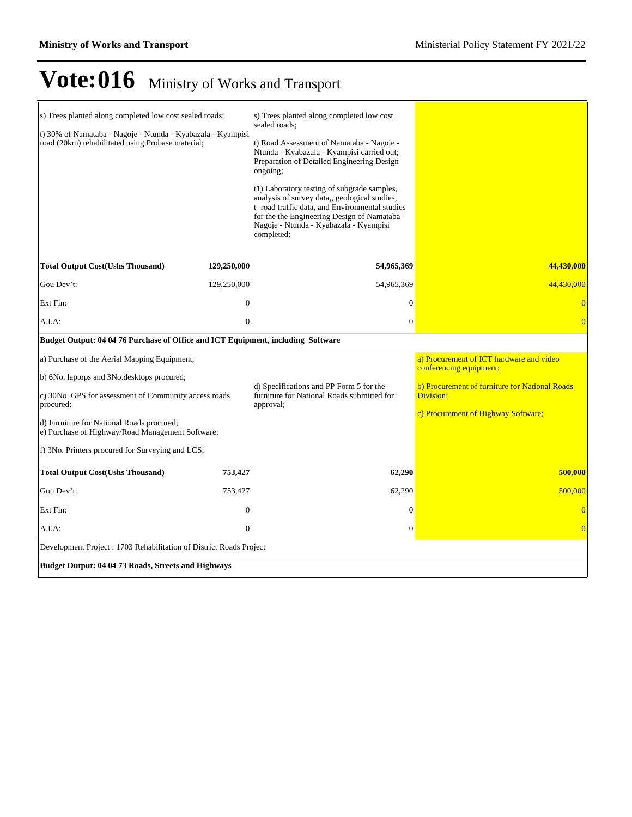| s) Trees planted along completed low cost sealed roads;<br>t) 30% of Namataba - Nagoje - Ntunda - Kyabazala - Kyampisi<br>road (20km) rehabilitated using Probase material;                                                                                                                                            |                | s) Trees planted along completed low cost<br>sealed roads;<br>t) Road Assessment of Namataba - Nagoje -<br>Ntunda - Kyabazala - Kyampisi carried out;<br>Preparation of Detailed Engineering Design<br>ongoing;<br>t1) Laboratory testing of subgrade samples,<br>analysis of survey data,, geological studies,<br>t=road traffic data, and Environmental studies<br>for the the Engineering Design of Namataba -<br>Nagoje - Ntunda - Kyabazala - Kyampisi<br>completed; |                                                                                                                                                                           |
|------------------------------------------------------------------------------------------------------------------------------------------------------------------------------------------------------------------------------------------------------------------------------------------------------------------------|----------------|---------------------------------------------------------------------------------------------------------------------------------------------------------------------------------------------------------------------------------------------------------------------------------------------------------------------------------------------------------------------------------------------------------------------------------------------------------------------------|---------------------------------------------------------------------------------------------------------------------------------------------------------------------------|
| <b>Total Output Cost(Ushs Thousand)</b>                                                                                                                                                                                                                                                                                | 129,250,000    | 54,965,369                                                                                                                                                                                                                                                                                                                                                                                                                                                                | 44,430,000                                                                                                                                                                |
| Gou Dev't:                                                                                                                                                                                                                                                                                                             | 129,250,000    | 54,965,369                                                                                                                                                                                                                                                                                                                                                                                                                                                                | 44,430,000                                                                                                                                                                |
| Ext Fin:                                                                                                                                                                                                                                                                                                               | $\overline{0}$ | $\Omega$                                                                                                                                                                                                                                                                                                                                                                                                                                                                  | $\Omega$                                                                                                                                                                  |
| A.I.A:                                                                                                                                                                                                                                                                                                                 | $\overline{0}$ | $\overline{0}$                                                                                                                                                                                                                                                                                                                                                                                                                                                            | $\overline{0}$                                                                                                                                                            |
| Budget Output: 04 04 76 Purchase of Office and ICT Equipment, including Software                                                                                                                                                                                                                                       |                |                                                                                                                                                                                                                                                                                                                                                                                                                                                                           |                                                                                                                                                                           |
| a) Purchase of the Aerial Mapping Equipment;<br>b) 6No. laptops and 3No. desktops procured;<br>c) 30No. GPS for assessment of Community access roads<br>procured;<br>d) Furniture for National Roads procured;<br>e) Purchase of Highway/Road Management Software;<br>f) 3No. Printers procured for Surveying and LCS; |                | d) Specifications and PP Form 5 for the<br>furniture for National Roads submitted for<br>approval;                                                                                                                                                                                                                                                                                                                                                                        | a) Procurement of ICT hardware and video<br>conferencing equipment;<br>b) Procurement of furniture for National Roads<br>Division;<br>c) Procurement of Highway Software; |
| <b>Total Output Cost(Ushs Thousand)</b>                                                                                                                                                                                                                                                                                | 753,427        | 62,290                                                                                                                                                                                                                                                                                                                                                                                                                                                                    | 500,000                                                                                                                                                                   |
| Gou Dev't:                                                                                                                                                                                                                                                                                                             | 753,427        | 62,290                                                                                                                                                                                                                                                                                                                                                                                                                                                                    | 500,000                                                                                                                                                                   |
| Ext Fin:                                                                                                                                                                                                                                                                                                               | $\overline{0}$ | $\Omega$                                                                                                                                                                                                                                                                                                                                                                                                                                                                  | $\Omega$                                                                                                                                                                  |
| A.I.A.                                                                                                                                                                                                                                                                                                                 | $\overline{0}$ | $\theta$                                                                                                                                                                                                                                                                                                                                                                                                                                                                  | $\overline{0}$                                                                                                                                                            |
| Development Project: 1703 Rehabilitation of District Roads Project                                                                                                                                                                                                                                                     |                |                                                                                                                                                                                                                                                                                                                                                                                                                                                                           |                                                                                                                                                                           |
| Budget Output: 04 04 73 Roads, Streets and Highways                                                                                                                                                                                                                                                                    |                |                                                                                                                                                                                                                                                                                                                                                                                                                                                                           |                                                                                                                                                                           |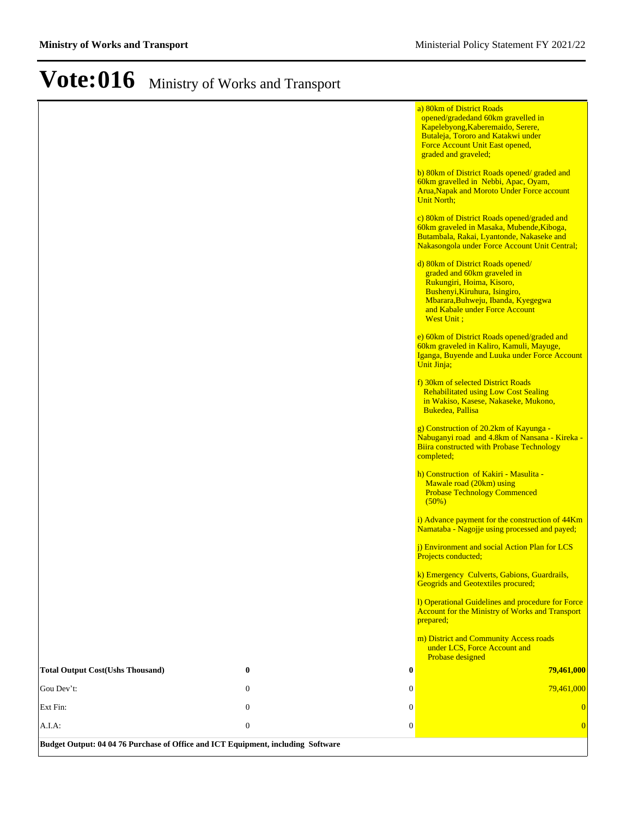|                                                                                  |                  |                  | a) 80km of District Roads<br>opened/gradedand 60km gravelled in<br>Kapelebyong, Kaberemaido, Serere,                                                                                                                  |
|----------------------------------------------------------------------------------|------------------|------------------|-----------------------------------------------------------------------------------------------------------------------------------------------------------------------------------------------------------------------|
|                                                                                  |                  |                  | Butaleja, Tororo and Katakwi under<br>Force Account Unit East opened,<br>graded and graveled;                                                                                                                         |
|                                                                                  |                  |                  | b) 80km of District Roads opened/ graded and<br>60km gravelled in Nebbi, Apac, Oyam,<br><b>Arua, Napak and Moroto Under Force account</b><br><b>Unit North;</b>                                                       |
|                                                                                  |                  |                  | c) 80km of District Roads opened/graded and<br>60km graveled in Masaka, Mubende, Kiboga,<br>Butambala, Rakai, Lyantonde, Nakaseke and<br>Nakasongola under Force Account Unit Central;                                |
|                                                                                  |                  |                  | d) 80km of District Roads opened/<br>graded and 60km graveled in<br>Rukungiri, Hoima, Kisoro,<br>Bushenyi, Kiruhura, Isingiro,<br>Mbarara, Buhweju, Ibanda, Kyegegwa<br>and Kabale under Force Account<br>West Unit ; |
|                                                                                  |                  |                  | e) 60km of District Roads opened/graded and<br>60km graveled in Kaliro, Kamuli, Mayuge,<br>Iganga, Buyende and Luuka under Force Account<br>Unit Jinja;                                                               |
|                                                                                  |                  |                  | f) 30km of selected District Roads<br><b>Rehabilitated using Low Cost Sealing</b><br>in Wakiso, Kasese, Nakaseke, Mukono,<br>Bukedea, Pallisa                                                                         |
|                                                                                  |                  |                  | g) Construction of 20.2km of Kayunga -<br>Nabuganyi road and 4.8km of Nansana - Kireka -<br><b>Biira constructed with Probase Technology</b><br>completed;                                                            |
|                                                                                  |                  |                  | h) Construction of Kakiri - Masulita -<br>Mawale road (20km) using<br><b>Probase Technology Commenced</b><br>(50%)                                                                                                    |
|                                                                                  |                  |                  | i) Advance payment for the construction of 44Km<br>Namataba - Nagojje using processed and payed;                                                                                                                      |
|                                                                                  |                  |                  | <i>i</i> ) Environment and social Action Plan for LCS<br>Projects conducted;                                                                                                                                          |
|                                                                                  |                  |                  | k) Emergency Culverts, Gabions, Guardrails,<br><b>Geogrids and Geotextiles procured;</b>                                                                                                                              |
|                                                                                  |                  |                  | 1) Operational Guidelines and procedure for Force<br><b>Account for the Ministry of Works and Transport</b><br>prepared;                                                                                              |
|                                                                                  |                  |                  | m) District and Community Access roads<br>under LCS, Force Account and<br>Probase designed                                                                                                                            |
| <b>Total Output Cost(Ushs Thousand)</b>                                          | 0                | $\bf{0}$         | 79,461,000                                                                                                                                                                                                            |
| Gou Dev't:                                                                       | $\mathbf{0}$     | 0                | 79,461,000                                                                                                                                                                                                            |
| Ext Fin:                                                                         | $\boldsymbol{0}$ | $\boldsymbol{0}$ | $\overline{0}$                                                                                                                                                                                                        |
| A.I.A:                                                                           | $\boldsymbol{0}$ | $\boldsymbol{0}$ | $\overline{0}$                                                                                                                                                                                                        |
| Budget Output: 04 04 76 Purchase of Office and ICT Equipment, including Software |                  |                  |                                                                                                                                                                                                                       |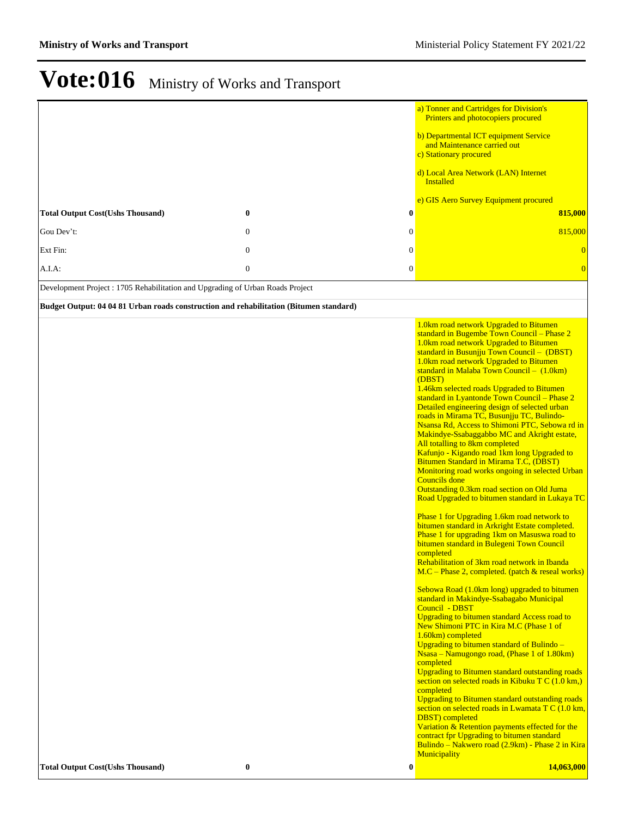| Ext Fin:<br>$\boldsymbol{0}$<br>$\mathbf{0}$<br>$\overline{0}$<br>$\boldsymbol{0}$<br>$\boldsymbol{0}$<br>$A.I.A$ :<br>$\overline{0}$<br>Development Project: 1705 Rehabilitation and Upgrading of Urban Roads Project<br>Budget Output: 04 04 81 Urban roads construction and rehabilitation (Bitumen standard)<br>1.0km road network Upgraded to Bitumen<br>standard in Bugembe Town Council - Phase 2<br>1.0km road network Upgraded to Bitumen<br>standard in Busunjju Town Council - (DBST)<br>1.0km road network Upgraded to Bitumen<br>standard in Malaba Town Council - (1.0km)<br>(DBST)<br>1.46km selected roads Upgraded to Bitumen<br>standard in Lyantonde Town Council - Phase 2<br>Detailed engineering design of selected urban<br>roads in Mirama TC, Busunjju TC, Bulindo-<br>Nsansa Rd, Access to Shimoni PTC, Sebowa rd in<br>Makindye-Ssabaggabbo MC and Akright estate,<br>All totalling to 8km completed<br>Kafunjo - Kigando road 1km long Upgraded to<br>Bitumen Standard in Mirama T.C, (DBST)<br>Monitoring road works ongoing in selected Urban<br><b>Councils</b> done<br>Outstanding 0.3km road section on Old Juma<br>Road Upgraded to bitumen standard in Lukaya TC<br>Phase 1 for Upgrading 1.6km road network to<br>bitumen standard in Arkright Estate completed.<br>Phase 1 for upgrading 1km on Masuswa road to<br>bitumen standard in Bulegeni Town Council<br>completed<br>Rehabilitation of 3km road network in Ibanda<br>$M.C$ – Phase 2, completed. (patch & reseal works)<br>Sebowa Road (1.0km long) upgraded to bitumen<br>standard in Makindye-Ssabagabo Municipal<br>Council - DBST<br>Upgrading to bitumen standard Access road to<br>New Shimoni PTC in Kira M.C (Phase 1 of<br>1.60km) completed<br>Upgrading to bitumen standard of Bulindo -<br>Nsasa – Namugongo road, (Phase 1 of 1.80km)<br>completed<br><b>Upgrading to Bitumen standard outstanding roads</b><br>section on selected roads in Kibuku T $C(1.0 \text{ km})$<br>completed<br>Upgrading to Bitumen standard outstanding roads<br>section on selected roads in Lwamata T C (1.0 km,<br><b>DBST</b> ) completed<br>Variation & Retention payments effected for the<br>contract fpr Upgrading to bitumen standard<br>Municipality<br><b>Total Output Cost(Ushs Thousand)</b><br>$\boldsymbol{0}$<br>$\bf{0}$ | <b>Total Output Cost(Ushs Thousand)</b><br>Gou Dev't: | 0<br>$\bf{0}$<br>$\boldsymbol{0}$<br>$\mathbf{0}$ | a) Tonner and Cartridges for Division's<br>Printers and photocopiers procured<br>b) Departmental ICT equipment Service<br>and Maintenance carried out<br>c) Stationary procured<br>d) Local Area Network (LAN) Internet<br>Installed<br>e) GIS Aero Survey Equipment procured<br>815,000<br>815,000 |
|---------------------------------------------------------------------------------------------------------------------------------------------------------------------------------------------------------------------------------------------------------------------------------------------------------------------------------------------------------------------------------------------------------------------------------------------------------------------------------------------------------------------------------------------------------------------------------------------------------------------------------------------------------------------------------------------------------------------------------------------------------------------------------------------------------------------------------------------------------------------------------------------------------------------------------------------------------------------------------------------------------------------------------------------------------------------------------------------------------------------------------------------------------------------------------------------------------------------------------------------------------------------------------------------------------------------------------------------------------------------------------------------------------------------------------------------------------------------------------------------------------------------------------------------------------------------------------------------------------------------------------------------------------------------------------------------------------------------------------------------------------------------------------------------------------------------------------------------------------------------------------------------------------------------------------------------------------------------------------------------------------------------------------------------------------------------------------------------------------------------------------------------------------------------------------------------------------------------------------------------------------------------------------------------------------------------------------|-------------------------------------------------------|---------------------------------------------------|-----------------------------------------------------------------------------------------------------------------------------------------------------------------------------------------------------------------------------------------------------------------------------------------------------|
|                                                                                                                                                                                                                                                                                                                                                                                                                                                                                                                                                                                                                                                                                                                                                                                                                                                                                                                                                                                                                                                                                                                                                                                                                                                                                                                                                                                                                                                                                                                                                                                                                                                                                                                                                                                                                                                                                                                                                                                                                                                                                                                                                                                                                                                                                                                                 |                                                       |                                                   |                                                                                                                                                                                                                                                                                                     |
|                                                                                                                                                                                                                                                                                                                                                                                                                                                                                                                                                                                                                                                                                                                                                                                                                                                                                                                                                                                                                                                                                                                                                                                                                                                                                                                                                                                                                                                                                                                                                                                                                                                                                                                                                                                                                                                                                                                                                                                                                                                                                                                                                                                                                                                                                                                                 |                                                       |                                                   |                                                                                                                                                                                                                                                                                                     |
|                                                                                                                                                                                                                                                                                                                                                                                                                                                                                                                                                                                                                                                                                                                                                                                                                                                                                                                                                                                                                                                                                                                                                                                                                                                                                                                                                                                                                                                                                                                                                                                                                                                                                                                                                                                                                                                                                                                                                                                                                                                                                                                                                                                                                                                                                                                                 |                                                       |                                                   |                                                                                                                                                                                                                                                                                                     |
|                                                                                                                                                                                                                                                                                                                                                                                                                                                                                                                                                                                                                                                                                                                                                                                                                                                                                                                                                                                                                                                                                                                                                                                                                                                                                                                                                                                                                                                                                                                                                                                                                                                                                                                                                                                                                                                                                                                                                                                                                                                                                                                                                                                                                                                                                                                                 |                                                       |                                                   | Bulindo – Nakwero road (2.9km) - Phase 2 in Kira<br>14,063,000                                                                                                                                                                                                                                      |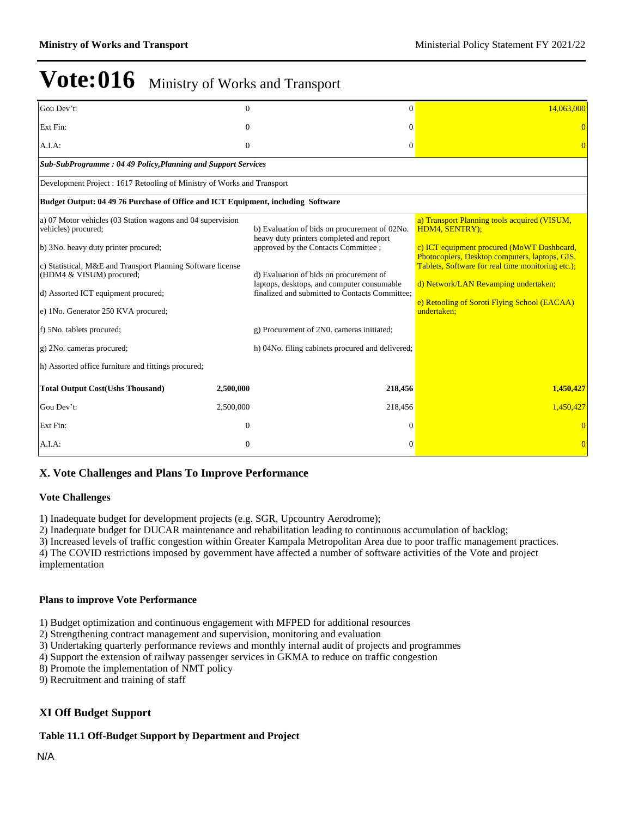| Gou Dev't:                                                                                                                                                                                                                                                                                                                                                                                                          | $\Omega$     | $\Omega$                                                                                                                                                                                                                                                                                                                                                                      | 14,063,000                                                                                                                                                                                                                                                                                                                 |
|---------------------------------------------------------------------------------------------------------------------------------------------------------------------------------------------------------------------------------------------------------------------------------------------------------------------------------------------------------------------------------------------------------------------|--------------|-------------------------------------------------------------------------------------------------------------------------------------------------------------------------------------------------------------------------------------------------------------------------------------------------------------------------------------------------------------------------------|----------------------------------------------------------------------------------------------------------------------------------------------------------------------------------------------------------------------------------------------------------------------------------------------------------------------------|
| Ext Fin:                                                                                                                                                                                                                                                                                                                                                                                                            | 0            | $\Omega$                                                                                                                                                                                                                                                                                                                                                                      |                                                                                                                                                                                                                                                                                                                            |
| A.I.A.                                                                                                                                                                                                                                                                                                                                                                                                              | $\mathbf{0}$ | $\Omega$                                                                                                                                                                                                                                                                                                                                                                      |                                                                                                                                                                                                                                                                                                                            |
| Sub-SubProgramme: 04 49 Policy, Planning and Support Services                                                                                                                                                                                                                                                                                                                                                       |              |                                                                                                                                                                                                                                                                                                                                                                               |                                                                                                                                                                                                                                                                                                                            |
| Development Project : 1617 Retooling of Ministry of Works and Transport                                                                                                                                                                                                                                                                                                                                             |              |                                                                                                                                                                                                                                                                                                                                                                               |                                                                                                                                                                                                                                                                                                                            |
| Budget Output: 04 49 76 Purchase of Office and ICT Equipment, including Software                                                                                                                                                                                                                                                                                                                                    |              |                                                                                                                                                                                                                                                                                                                                                                               |                                                                                                                                                                                                                                                                                                                            |
| a) 07 Motor vehicles (03 Station wagons and 04 supervision<br>vehicles) procured;<br>b) 3No. heavy duty printer procured;<br>c) Statistical, M&E and Transport Planning Software license<br>(HDM4 & VISUM) procured;<br>d) Assorted ICT equipment procured;<br>e) 1No. Generator 250 KVA procured;<br>f) 5No. tablets procured;<br>g) 2No. cameras procured;<br>h) Assorted office furniture and fittings procured; |              | b) Evaluation of bids on procurement of 02No.<br>heavy duty printers completed and report<br>approved by the Contacts Committee ;<br>d) Evaluation of bids on procurement of<br>laptops, desktops, and computer consumable<br>finalized and submitted to Contacts Committee:<br>g) Procurement of 2N0. cameras initiated;<br>h) 04No. filing cabinets procured and delivered; | a) Transport Planning tools acquired (VISUM,<br>HDM4, SENTRY);<br>c) ICT equipment procured (MoWT Dashboard,<br>Photocopiers, Desktop computers, laptops, GIS,<br>Tablets, Software for real time monitoring etc.);<br>d) Network/LAN Revamping undertaken;<br>e) Retooling of Soroti Flying School (EACAA)<br>undertaken; |
| <b>Total Output Cost(Ushs Thousand)</b>                                                                                                                                                                                                                                                                                                                                                                             | 2,500,000    | 218,456                                                                                                                                                                                                                                                                                                                                                                       | 1,450,427                                                                                                                                                                                                                                                                                                                  |
| Gou Dev't:                                                                                                                                                                                                                                                                                                                                                                                                          | 2,500,000    | 218,456                                                                                                                                                                                                                                                                                                                                                                       | 1,450,427                                                                                                                                                                                                                                                                                                                  |
| Ext Fin:                                                                                                                                                                                                                                                                                                                                                                                                            | $\theta$     | $\Omega$                                                                                                                                                                                                                                                                                                                                                                      |                                                                                                                                                                                                                                                                                                                            |
| A.I.A:                                                                                                                                                                                                                                                                                                                                                                                                              | $\Omega$     | $\Omega$                                                                                                                                                                                                                                                                                                                                                                      | $\Omega$                                                                                                                                                                                                                                                                                                                   |

### **X. Vote Challenges and Plans To Improve Performance**

#### **Vote Challenges**

1) Inadequate budget for development projects (e.g. SGR, Upcountry Aerodrome);

2) Inadequate budget for DUCAR maintenance and rehabilitation leading to continuous accumulation of backlog;

3) Increased levels of traffic congestion within Greater Kampala Metropolitan Area due to poor traffic management practices.

4) The COVID restrictions imposed by government have affected a number of software activities of the Vote and project implementation

### **Plans to improve Vote Performance**

1) Budget optimization and continuous engagement with MFPED for additional resources

2) Strengthening contract management and supervision, monitoring and evaluation

3) Undertaking quarterly performance reviews and monthly internal audit of projects and programmes

4) Support the extension of railway passenger services in GKMA to reduce on traffic congestion

8) Promote the implementation of NMT policy

9) Recruitment and training of staff

### **XI Off Budget Support**

### **Table 11.1 Off-Budget Support by Department and Project**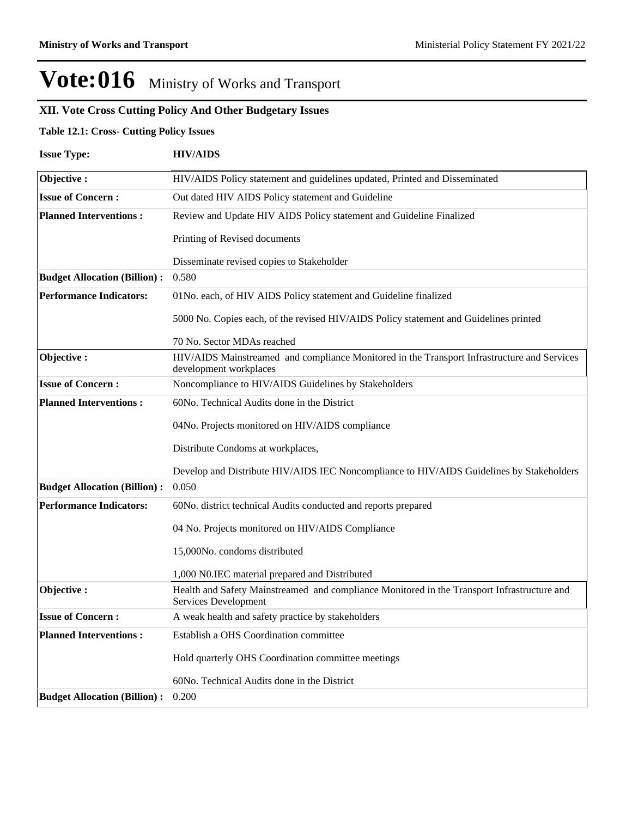### **XII. Vote Cross Cutting Policy And Other Budgetary Issues**

### **Table 12.1: Cross- Cutting Policy Issues**

| <b>Issue Type:</b>                  | <b>HIV/AIDS</b>                                                                                                       |  |  |  |  |  |
|-------------------------------------|-----------------------------------------------------------------------------------------------------------------------|--|--|--|--|--|
| Objective:                          | HIV/AIDS Policy statement and guidelines updated, Printed and Disseminated                                            |  |  |  |  |  |
| <b>Issue of Concern:</b>            | Out dated HIV AIDS Policy statement and Guideline                                                                     |  |  |  |  |  |
| <b>Planned Interventions:</b>       | Review and Update HIV AIDS Policy statement and Guideline Finalized                                                   |  |  |  |  |  |
|                                     | Printing of Revised documents                                                                                         |  |  |  |  |  |
|                                     | Disseminate revised copies to Stakeholder                                                                             |  |  |  |  |  |
| <b>Budget Allocation (Billion):</b> | 0.580                                                                                                                 |  |  |  |  |  |
| <b>Performance Indicators:</b>      | 01No. each, of HIV AIDS Policy statement and Guideline finalized                                                      |  |  |  |  |  |
|                                     | 5000 No. Copies each, of the revised HIV/AIDS Policy statement and Guidelines printed                                 |  |  |  |  |  |
|                                     | 70 No. Sector MDAs reached                                                                                            |  |  |  |  |  |
| Objective:                          | HIV/AIDS Mainstreamed and compliance Monitored in the Transport Infrastructure and Services<br>development workplaces |  |  |  |  |  |
| <b>Issue of Concern:</b>            | Noncompliance to HIV/AIDS Guidelines by Stakeholders                                                                  |  |  |  |  |  |
| <b>Planned Interventions:</b>       | 60No. Technical Audits done in the District                                                                           |  |  |  |  |  |
|                                     | 04No. Projects monitored on HIV/AIDS compliance                                                                       |  |  |  |  |  |
|                                     | Distribute Condoms at workplaces,                                                                                     |  |  |  |  |  |
|                                     | Develop and Distribute HIV/AIDS IEC Noncompliance to HIV/AIDS Guidelines by Stakeholders                              |  |  |  |  |  |
| <b>Budget Allocation (Billion):</b> | 0.050                                                                                                                 |  |  |  |  |  |
| <b>Performance Indicators:</b>      | 60No. district technical Audits conducted and reports prepared                                                        |  |  |  |  |  |
|                                     | 04 No. Projects monitored on HIV/AIDS Compliance                                                                      |  |  |  |  |  |
|                                     | 15,000No. condoms distributed                                                                                         |  |  |  |  |  |
|                                     | 1,000 N0.IEC material prepared and Distributed                                                                        |  |  |  |  |  |
| Objective:                          | Health and Safety Mainstreamed and compliance Monitored in the Transport Infrastructure and<br>Services Development   |  |  |  |  |  |
| <b>Issue of Concern:</b>            | A weak health and safety practice by stakeholders                                                                     |  |  |  |  |  |
| <b>Planned Interventions:</b>       | Establish a OHS Coordination committee                                                                                |  |  |  |  |  |
|                                     | Hold quarterly OHS Coordination committee meetings                                                                    |  |  |  |  |  |
|                                     | 60No. Technical Audits done in the District                                                                           |  |  |  |  |  |
| <b>Budget Allocation (Billion):</b> | 0.200                                                                                                                 |  |  |  |  |  |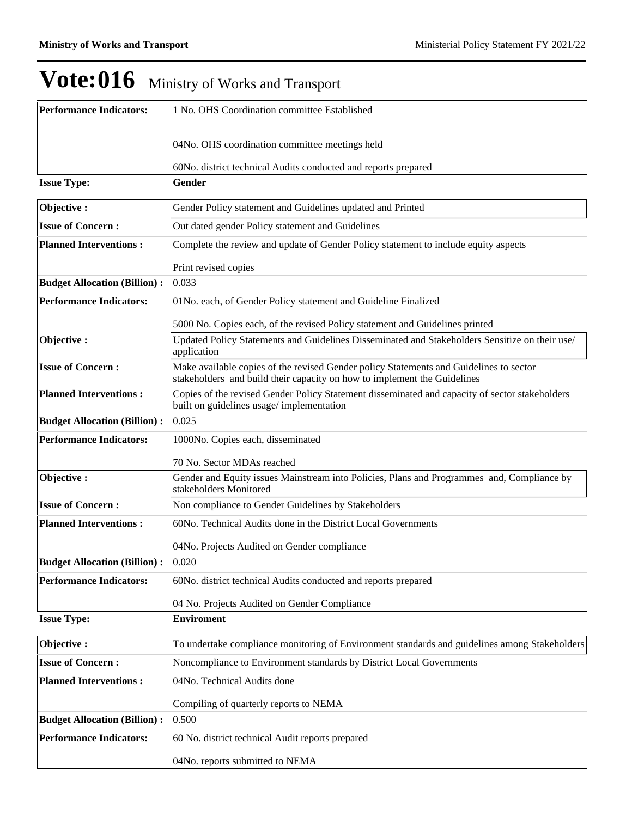| <b>Performance Indicators:</b>      | 1 No. OHS Coordination committee Established                                                                                                                       |  |  |  |  |  |
|-------------------------------------|--------------------------------------------------------------------------------------------------------------------------------------------------------------------|--|--|--|--|--|
|                                     | 04No. OHS coordination committee meetings held                                                                                                                     |  |  |  |  |  |
|                                     |                                                                                                                                                                    |  |  |  |  |  |
|                                     | 60No. district technical Audits conducted and reports prepared                                                                                                     |  |  |  |  |  |
| <b>Issue Type:</b>                  | Gender                                                                                                                                                             |  |  |  |  |  |
| Objective:                          | Gender Policy statement and Guidelines updated and Printed                                                                                                         |  |  |  |  |  |
| <b>Issue of Concern:</b>            | Out dated gender Policy statement and Guidelines                                                                                                                   |  |  |  |  |  |
| <b>Planned Interventions:</b>       | Complete the review and update of Gender Policy statement to include equity aspects                                                                                |  |  |  |  |  |
|                                     | Print revised copies                                                                                                                                               |  |  |  |  |  |
| <b>Budget Allocation (Billion):</b> | 0.033                                                                                                                                                              |  |  |  |  |  |
| <b>Performance Indicators:</b>      | 01No. each, of Gender Policy statement and Guideline Finalized                                                                                                     |  |  |  |  |  |
|                                     | 5000 No. Copies each, of the revised Policy statement and Guidelines printed                                                                                       |  |  |  |  |  |
| Objective:                          | Updated Policy Statements and Guidelines Disseminated and Stakeholders Sensitize on their use/<br>application                                                      |  |  |  |  |  |
| <b>Issue of Concern:</b>            | Make available copies of the revised Gender policy Statements and Guidelines to sector<br>stakeholders and build their capacity on how to implement the Guidelines |  |  |  |  |  |
| <b>Planned Interventions:</b>       | Copies of the revised Gender Policy Statement disseminated and capacity of sector stakeholders<br>built on guidelines usage/implementation                         |  |  |  |  |  |
| <b>Budget Allocation (Billion):</b> | 0.025                                                                                                                                                              |  |  |  |  |  |
| <b>Performance Indicators:</b>      | 1000No. Copies each, disseminated                                                                                                                                  |  |  |  |  |  |
|                                     | 70 No. Sector MDAs reached                                                                                                                                         |  |  |  |  |  |
| Objective:                          | Gender and Equity issues Mainstream into Policies, Plans and Programmes and, Compliance by<br>stakeholders Monitored                                               |  |  |  |  |  |
| <b>Issue of Concern:</b>            | Non compliance to Gender Guidelines by Stakeholders                                                                                                                |  |  |  |  |  |
| <b>Planned Interventions:</b>       | 60No. Technical Audits done in the District Local Governments                                                                                                      |  |  |  |  |  |
|                                     | 04No. Projects Audited on Gender compliance                                                                                                                        |  |  |  |  |  |
| <b>Budget Allocation (Billion):</b> | 0.020                                                                                                                                                              |  |  |  |  |  |
| <b>Performance Indicators:</b>      | 60No. district technical Audits conducted and reports prepared                                                                                                     |  |  |  |  |  |
|                                     | 04 No. Projects Audited on Gender Compliance                                                                                                                       |  |  |  |  |  |
| <b>Issue Type:</b>                  | <b>Enviroment</b>                                                                                                                                                  |  |  |  |  |  |
| Objective:                          | To undertake compliance monitoring of Environment standards and guidelines among Stakeholders                                                                      |  |  |  |  |  |
| <b>Issue of Concern:</b>            | Noncompliance to Environment standards by District Local Governments                                                                                               |  |  |  |  |  |
| <b>Planned Interventions:</b>       | 04No. Technical Audits done                                                                                                                                        |  |  |  |  |  |
|                                     | Compiling of quarterly reports to NEMA                                                                                                                             |  |  |  |  |  |
| <b>Budget Allocation (Billion):</b> | 0.500                                                                                                                                                              |  |  |  |  |  |
| <b>Performance Indicators:</b>      | 60 No. district technical Audit reports prepared                                                                                                                   |  |  |  |  |  |
|                                     | 04No. reports submitted to NEMA                                                                                                                                    |  |  |  |  |  |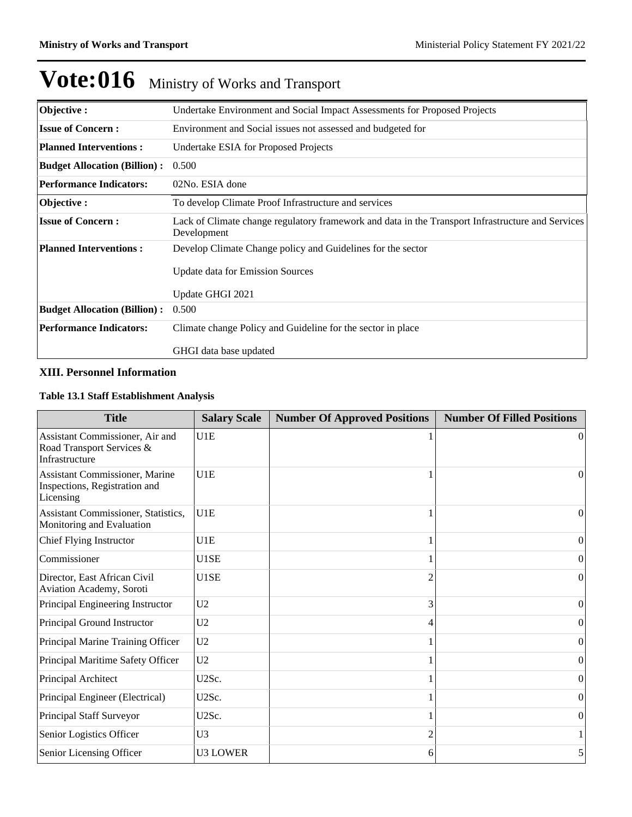| Objective:                          | Undertake Environment and Social Impact Assessments for Proposed Projects                                        |
|-------------------------------------|------------------------------------------------------------------------------------------------------------------|
| <b>Issue of Concern:</b>            | Environment and Social issues not assessed and budgeted for                                                      |
| <b>Planned Interventions:</b>       | Undertake ESIA for Proposed Projects                                                                             |
| <b>Budget Allocation (Billion):</b> | 0.500                                                                                                            |
| <b>Performance Indicators:</b>      | 02No. ESIA done                                                                                                  |
| Objective :                         | To develop Climate Proof Infrastructure and services                                                             |
| <b>Issue of Concern:</b>            | Lack of Climate change regulatory framework and data in the Transport Infrastructure and Services<br>Development |
| <b>Planned Interventions:</b>       | Develop Climate Change policy and Guidelines for the sector                                                      |
|                                     | <b>Update data for Emission Sources</b>                                                                          |
|                                     | Update GHGI 2021                                                                                                 |
| <b>Budget Allocation (Billion):</b> | 0.500                                                                                                            |
| <b>Performance Indicators:</b>      | Climate change Policy and Guideline for the sector in place                                                      |
|                                     | GHGI data base updated                                                                                           |

### **XIII. Personnel Information**

### **Table 13.1 Staff Establishment Analysis**

| <b>Title</b>                                                                   | <b>Salary Scale</b> | <b>Number Of Approved Positions</b> | <b>Number Of Filled Positions</b> |
|--------------------------------------------------------------------------------|---------------------|-------------------------------------|-----------------------------------|
| Assistant Commissioner, Air and<br>Road Transport Services &<br>Infrastructure | U1E                 |                                     | $\vert$ 0                         |
| Assistant Commissioner, Marine<br>Inspections, Registration and<br>Licensing   | U1E                 |                                     | $\vert$ 0                         |
| Assistant Commissioner, Statistics,<br>Monitoring and Evaluation               | U1E                 |                                     | $\Omega$                          |
| Chief Flying Instructor                                                        | U1E                 |                                     | $\overline{0}$                    |
| Commissioner                                                                   | U1SE                |                                     | $\overline{0}$                    |
| Director, East African Civil<br>Aviation Academy, Soroti                       | U1SE                |                                     | $\overline{0}$                    |
| Principal Engineering Instructor                                               | U <sub>2</sub>      | 3                                   | $\theta$                          |
| Principal Ground Instructor                                                    | U <sub>2</sub>      |                                     | $\overline{0}$                    |
| Principal Marine Training Officer                                              | U <sub>2</sub>      |                                     | $\overline{0}$                    |
| Principal Maritime Safety Officer                                              | U <sub>2</sub>      |                                     | $\theta$                          |
| Principal Architect                                                            | U2Sc.               |                                     | $\theta$                          |
| Principal Engineer (Electrical)                                                | U2Sc.               |                                     | $\Omega$                          |
| Principal Staff Surveyor                                                       | U2Sc.               |                                     | $\Omega$                          |
| Senior Logistics Officer                                                       | U3                  | 2                                   |                                   |
| Senior Licensing Officer                                                       | <b>U3 LOWER</b>     | 6                                   | 5                                 |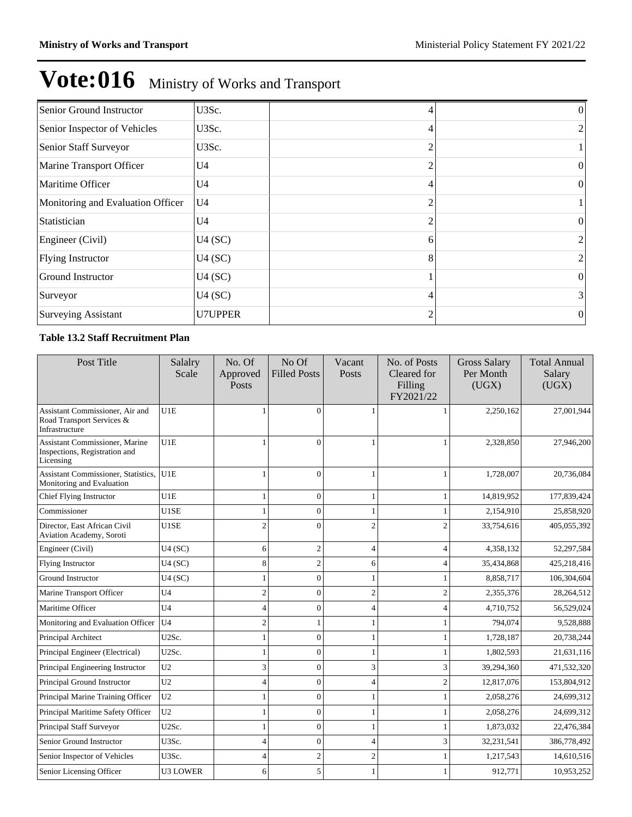| Senior Ground Instructor          | U3Sc.          |                | $\left($         |
|-----------------------------------|----------------|----------------|------------------|
| Senior Inspector of Vehicles      | U3Sc.          | 4              | 2                |
| Senior Staff Surveyor             | U3Sc.          | $\overline{2}$ |                  |
| Marine Transport Officer          | U <sub>4</sub> | 2              | $\overline{0}$   |
| Maritime Officer                  | U <sub>4</sub> | 4              | $\overline{0}$   |
| Monitoring and Evaluation Officer | U <sub>4</sub> |                |                  |
| Statistician                      | U <sub>4</sub> |                | $\mathbf{0}$     |
| Engineer (Civil)                  | U4(SC)         | 6              | 2                |
| Flying Instructor                 | U4(SC)         | 8              | 2                |
| <b>Ground Instructor</b>          | U4(SC)         |                | $\overline{0}$   |
| Surveyor                          | U4(SC)         | 4              | $\vert 3 \vert$  |
| <b>Surveying Assistant</b>        | <b>U7UPPER</b> | 2              | $\boldsymbol{0}$ |

### **Table 13.2 Staff Recruitment Plan**

| Post Title                                                                          | Salalry<br>Scale | No. Of<br>Approved<br>Posts | No Of<br><b>Filled Posts</b> | Vacant<br>Posts          | No. of Posts<br>Cleared for<br>Filling<br>FY2021/22 | <b>Gross Salary</b><br>Per Month<br>(UGX) | <b>Total Annual</b><br>Salary<br>(UGX) |
|-------------------------------------------------------------------------------------|------------------|-----------------------------|------------------------------|--------------------------|-----------------------------------------------------|-------------------------------------------|----------------------------------------|
| Assistant Commissioner, Air and<br>Road Transport Services &<br>Infrastructure      | U1E              |                             | $\Omega$                     |                          |                                                     | 2,250,162                                 | 27,001,944                             |
| <b>Assistant Commissioner, Marine</b><br>Inspections, Registration and<br>Licensing | U1E              | $\mathbf{1}$                | $\theta$                     | 1                        |                                                     | 2,328,850                                 | 27,946,200                             |
| Assistant Commissioner, Statistics,<br>Monitoring and Evaluation                    | U1E              |                             | $\Omega$                     |                          |                                                     | 1,728,007                                 | 20,736,084                             |
| Chief Flying Instructor                                                             | U1E              | 1                           | $\theta$                     |                          |                                                     | 14,819,952                                | 177,839,424                            |
| Commissioner                                                                        | U1SE             | $\overline{1}$              | $\overline{0}$               |                          |                                                     | 2,154,910                                 | 25,858,920                             |
| Director, East African Civil<br><b>Aviation Academy, Soroti</b>                     | U1SE             | $\overline{c}$              | 0                            | $\mathfrak{D}$           |                                                     | 33,754,616                                | 405,055,392                            |
| Engineer (Civil)                                                                    | U4(SC)           | 6                           | $\overline{2}$               | $\overline{4}$           | 4                                                   | 4,358,132                                 | 52,297,584                             |
| <b>Flying Instructor</b>                                                            | U4(SC)           | 8                           | $\overline{2}$               | 6                        |                                                     | 35,434,868                                | 425,218,416                            |
| <b>Ground Instructor</b>                                                            | U4(SC)           | 1                           | $\theta$                     |                          |                                                     | 8,858,717                                 | 106,304,604                            |
| Marine Transport Officer                                                            | U <sub>4</sub>   | $\overline{c}$              | $\theta$                     | $\overline{c}$           | $\overline{2}$                                      | 2,355,376                                 | 28,264,512                             |
| Maritime Officer                                                                    | U <sub>4</sub>   | $\overline{4}$              | $\theta$                     | 4                        |                                                     | 4,710,752                                 | 56,529,024                             |
| Monitoring and Evaluation Officer                                                   | U <sub>4</sub>   | $\overline{c}$              |                              |                          |                                                     | 794,074                                   | 9,528,888                              |
| Principal Architect                                                                 | U2Sc.            | 1                           | $\mathbf{0}$                 |                          |                                                     | 1,728,187                                 | 20,738,244                             |
| Principal Engineer (Electrical)                                                     | U2Sc.            | $\overline{1}$              | $\Omega$                     |                          |                                                     | 1,802,593                                 | 21,631,116                             |
| Principal Engineering Instructor                                                    | U <sub>2</sub>   | 3                           | $\theta$                     | 3                        | 3                                                   | 39,294,360                                | 471,532,320                            |
| Principal Ground Instructor                                                         | U <sub>2</sub>   | 4                           | $\theta$                     | 4                        | $\overline{c}$                                      | 12,817,076                                | 153,804,912                            |
| Principal Marine Training Officer                                                   | U <sub>2</sub>   | $\overline{1}$              | $\Omega$                     |                          |                                                     | 2,058,276                                 | 24,699,312                             |
| Principal Maritime Safety Officer                                                   | U <sub>2</sub>   | 1                           | $\Omega$                     |                          |                                                     | 2,058,276                                 | 24,699,312                             |
| Principal Staff Surveyor                                                            | U2Sc.            | 1                           | $\overline{0}$               |                          |                                                     | 1,873,032                                 | 22,476,384                             |
| Senior Ground Instructor                                                            | U3Sc.            | $\overline{4}$              | $\theta$                     | $\overline{\mathcal{L}}$ | 3                                                   | 32,231,541                                | 386,778,492                            |
| Senior Inspector of Vehicles                                                        | U3Sc.            | 4                           | $\mathfrak{2}$               | $\overline{2}$           |                                                     | 1,217,543                                 | 14,610,516                             |
| Senior Licensing Officer                                                            | <b>U3 LOWER</b>  | 6                           | 5                            |                          |                                                     | 912,771                                   | 10,953,252                             |